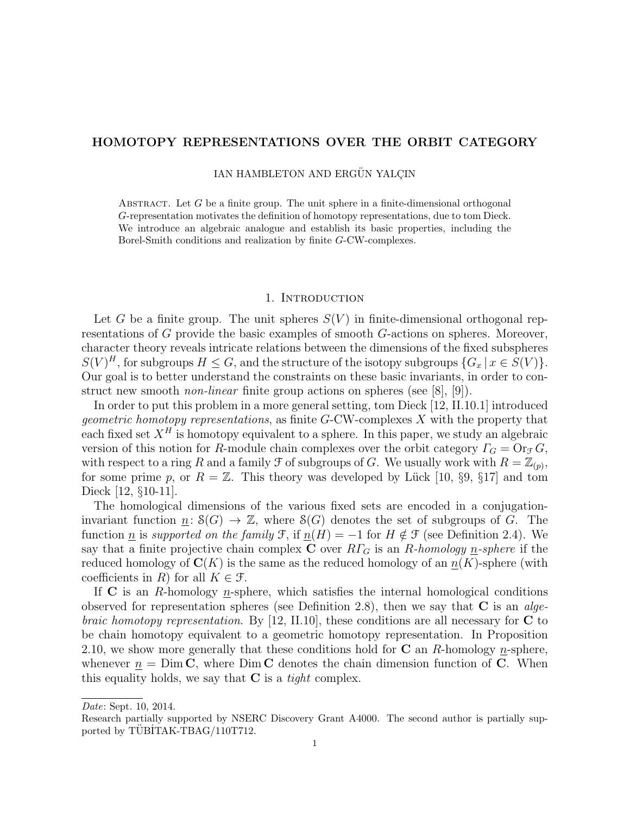# HOMOTOPY REPRESENTATIONS OVER THE ORBIT CATEGORY

IAN HAMBLETON AND ERGÜN YALÇIN

ABSTRACT. Let  $G$  be a finite group. The unit sphere in a finite-dimensional orthogonal G-representation motivates the definition of homotopy representations, due to tom Dieck. We introduce an algebraic analogue and establish its basic properties, including the Borel-Smith conditions and realization by finite G-CW-complexes.

#### 1. Introduction

Let G be a finite group. The unit spheres  $S(V)$  in finite-dimensional orthogonal representations of G provide the basic examples of smooth G-actions on spheres. Moreover, character theory reveals intricate relations between the dimensions of the fixed subspheres  $S(V)^H$ , for subgroups  $H \leq G$ , and the structure of the isotopy subgroups  $\{G_x \mid x \in S(V)\}$ . Our goal is to better understand the constraints on these basic invariants, in order to construct new smooth *non-linear* finite group actions on spheres (see [8], [9]).

In order to put this problem in a more general setting, tom Dieck [12, II.10.1] introduced geometric homotopy representations, as finite G-CW-complexes X with the property that each fixed set  $X^H$  is homotopy equivalent to a sphere. In this paper, we study an algebraic version of this notion for R-module chain complexes over the orbit category  $\Gamma_G = \text{Or}_{\mathcal{F}} G$ , with respect to a ring R and a family  $\mathcal F$  of subgroups of G. We usually work with  $R=\mathbb Z_{(p)}$ , for some prime p, or  $R = \mathbb{Z}$ . This theory was developed by Lück [10, §9, §17] and tom Dieck [12, §10-11].

The homological dimensions of the various fixed sets are encoded in a conjugationinvariant function  $n: S(G) \to \mathbb{Z}$ , where  $S(G)$  denotes the set of subgroups of G. The function <u>n</u> is supported on the family F, if  $\underline{n}(H) = -1$  for  $H \notin \mathcal{F}$  (see Definition 2.4). We say that a finite projective chain complex C over  $R\Gamma_G$  is an R-homology n-sphere if the reduced homology of  $\mathbf{C}(K)$  is the same as the reduced homology of an  $n(K)$ -sphere (with coefficients in R) for all  $K \in \mathcal{F}$ .

If C is an R-homology  $n$ -sphere, which satisfies the internal homological conditions observed for representation spheres (see Definition 2.8), then we say that  $C$  is an alge*braic homotopy representation.* By [12, II.10], these conditions are all necessary for  $C$  to be chain homotopy equivalent to a geometric homotopy representation. In Proposition 2.10, we show more generally that these conditions hold for  $C$  an  $R$ -homology  $n$ -sphere, whenever  $n = \text{Dim } C$ , where  $\text{Dim } C$  denotes the chain dimension function of C. When this equality holds, we say that  $C$  is a *tight* complex.

Date: Sept. 10, 2014.

Research partially supported by NSERC Discovery Grant A4000. The second author is partially supported by TÜBİTAK-TBAG/110T712.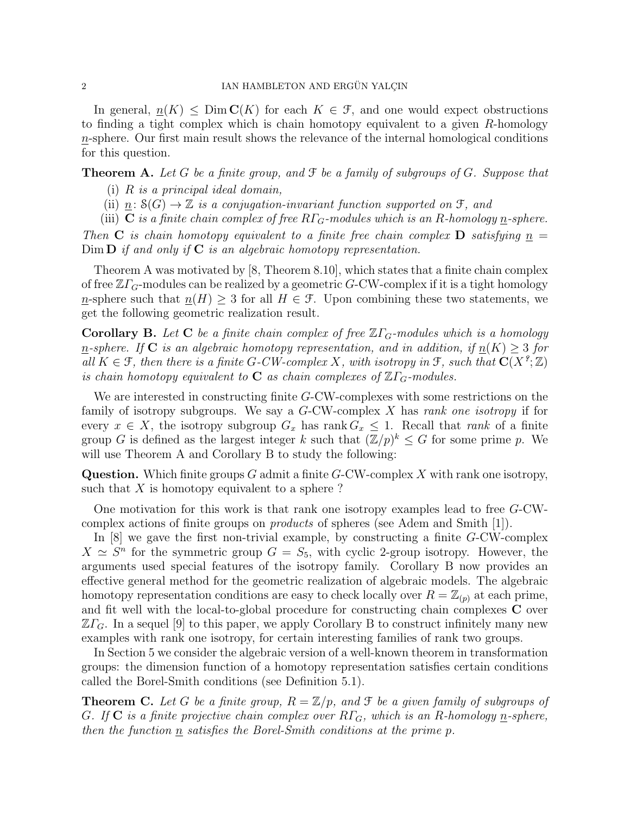In general,  $n(K) \leq \text{Dim } C(K)$  for each  $K \in \mathcal{F}$ , and one would expect obstructions to finding a tight complex which is chain homotopy equivalent to a given R-homology n-sphere. Our first main result shows the relevance of the internal homological conditions for this question.

**Theorem A.** Let G be a finite group, and  $\mathcal F$  be a family of subgroups of G. Suppose that

- (i)  $R$  is a principal ideal domain,
- (ii)  $\underline{n}: \mathcal{S}(G) \to \mathbb{Z}$  is a conjugation-invariant function supported on  $\mathfrak{F}$ , and
- (iii) **C** is a finite chain complex of free  $R\Gamma_G$ -modules which is an R-homology n-sphere.

Then **C** is chain homotopy equivalent to a finite free chain complex **D** satisfying  $n =$  $\text{Dim } \mathbf{D}$  if and only if  $\mathbf C$  is an algebraic homotopy representation.

Theorem A was motivated by [8, Theorem 8.10], which states that a finite chain complex of free  $\mathbb{Z}\Gamma_G$ -modules can be realized by a geometric G-CW-complex if it is a tight homology n-sphere such that  $n(H) \geq 3$  for all  $H \in \mathcal{F}$ . Upon combining these two statements, we get the following geometric realization result.

**Corollary B.** Let **C** be a finite chain complex of free  $\mathbb{Z}\Gamma_G$ -modules which is a homology n-sphere. If C is an algebraic homotopy representation, and in addition, if  $n(K) \geq 3$  for all  $K \in \mathcal{F}$ , then there is a finite G-CW-complex X, with isotropy in  $\mathcal{F}$ , such that  $\mathbf{C}(X^{\mathcal{P}};\mathbb{Z})$ is chain homotopy equivalent to **C** as chain complexes of  $\mathbb{Z}\Gamma$ <sub>G</sub>-modules.

We are interested in constructing finite G-CW-complexes with some restrictions on the family of isotropy subgroups. We say a  $G$ -CW-complex X has rank one isotropy if for every  $x \in X$ , the isotropy subgroup  $G_x$  has rank  $G_x \leq 1$ . Recall that rank of a finite group G is defined as the largest integer k such that  $(\mathbb{Z}/p)^k \leq G$  for some prime p. We will use Theorem A and Corollary B to study the following:

**Question.** Which finite groups G admit a finite  $G$ -CW-complex X with rank one isotropy, such that  $X$  is homotopy equivalent to a sphere?

One motivation for this work is that rank one isotropy examples lead to free G-CWcomplex actions of finite groups on products of spheres (see Adem and Smith [1]).

In  $[8]$  we gave the first non-trivial example, by constructing a finite  $G$ -CW-complex  $X \simeq S^n$  for the symmetric group  $G = S_5$ , with cyclic 2-group isotropy. However, the arguments used special features of the isotropy family. Corollary B now provides an effective general method for the geometric realization of algebraic models. The algebraic homotopy representation conditions are easy to check locally over  $R = \mathbb{Z}_{(p)}$  at each prime, and fit well with the local-to-global procedure for constructing chain complexes C over  $\mathbb{Z}\Gamma_G$ . In a sequel [9] to this paper, we apply Corollary B to construct infinitely many new examples with rank one isotropy, for certain interesting families of rank two groups.

In Section 5 we consider the algebraic version of a well-known theorem in transformation groups: the dimension function of a homotopy representation satisfies certain conditions called the Borel-Smith conditions (see Definition 5.1).

**Theorem C.** Let G be a finite group,  $R = \mathbb{Z}/p$ , and F be a given family of subgroups of G. If  $C$  is a finite projective chain complex over  $R\Gamma_G$ , which is an R-homology <u>n</u>-sphere, then the function n satisfies the Borel-Smith conditions at the prime p.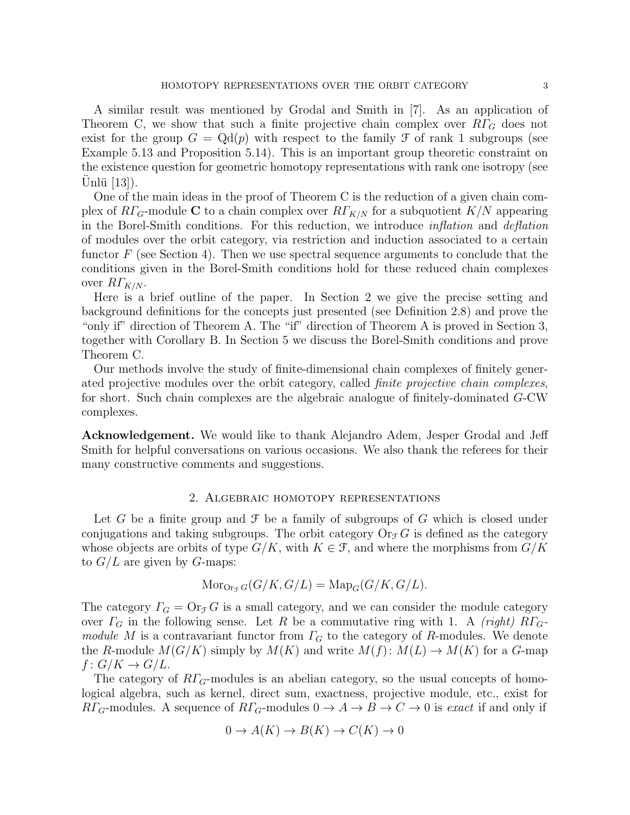A similar result was mentioned by Grodal and Smith in [7]. As an application of Theorem C, we show that such a finite projective chain complex over  $R\Gamma_G$  does not exist for the group  $G = \mathrm{Qd}(p)$  with respect to the family  $\mathcal F$  of rank 1 subgroups (see Example 5.13 and Proposition 5.14). This is an important group theoretic constraint on the existence question for geometric homotopy representations with rank one isotropy (see Unlü  $[13]$ ).

One of the main ideas in the proof of Theorem C is the reduction of a given chain complex of  $R\Gamma_{G}$ -module C to a chain complex over  $R\Gamma_{K/N}$  for a subquotient  $K/N$  appearing in the Borel-Smith conditions. For this reduction, we introduce inflation and deflation of modules over the orbit category, via restriction and induction associated to a certain functor  $F$  (see Section 4). Then we use spectral sequence arguments to conclude that the conditions given in the Borel-Smith conditions hold for these reduced chain complexes over  $R\Gamma_{K/N}$ .

Here is a brief outline of the paper. In Section 2 we give the precise setting and background definitions for the concepts just presented (see Definition 2.8) and prove the "only if" direction of Theorem A. The "if" direction of Theorem A is proved in Section 3, together with Corollary B. In Section 5 we discuss the Borel-Smith conditions and prove Theorem C.

Our methods involve the study of finite-dimensional chain complexes of finitely generated projective modules over the orbit category, called finite projective chain complexes, for short. Such chain complexes are the algebraic analogue of finitely-dominated G-CW complexes.

Acknowledgement. We would like to thank Alejandro Adem, Jesper Grodal and Jeff Smith for helpful conversations on various occasions. We also thank the referees for their many constructive comments and suggestions.

### 2. Algebraic homotopy representations

Let G be a finite group and  $\mathcal F$  be a family of subgroups of G which is closed under conjugations and taking subgroups. The orbit category  $\text{Or}_{\mathcal{F}}G$  is defined as the category whose objects are orbits of type  $G/K$ , with  $K \in \mathcal{F}$ , and where the morphisms from  $G/K$ to  $G/L$  are given by G-maps:

$$
\operatorname{Mor}_{\operatorname{Or}_{\mathcal{F}}G}(G/K, G/L) = \operatorname{Map}_G(G/K, G/L).
$$

The category  $\Gamma_G = \text{Or}_{\mathcal{F}} G$  is a small category, and we can consider the module category over  $\Gamma_G$  in the following sense. Let R be a commutative ring with 1. A (right)  $R\Gamma_G$ module M is a contravariant functor from  $\Gamma_G$  to the category of R-modules. We denote the R-module  $M(G/K)$  simply by  $M(K)$  and write  $M(f)$ :  $M(L) \rightarrow M(K)$  for a G-map  $f: G/K \to G/L$ .

The category of  $R\Gamma_{G}$ -modules is an abelian category, so the usual concepts of homological algebra, such as kernel, direct sum, exactness, projective module, etc., exist for  $R\Gamma_G$ -modules. A sequence of  $R\Gamma_G$ -modules  $0 \to A \to B \to C \to 0$  is exact if and only if

$$
0 \to A(K) \to B(K) \to C(K) \to 0
$$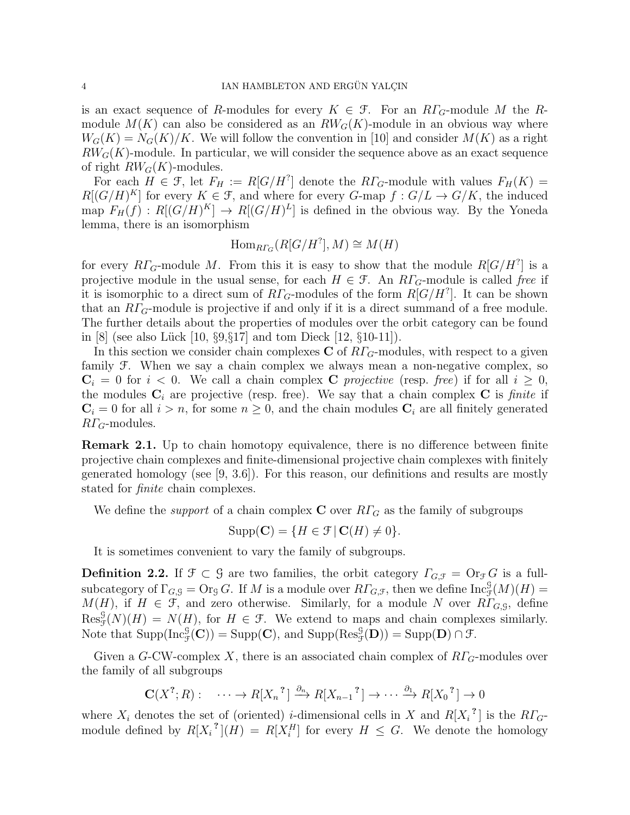is an exact sequence of R-modules for every  $K \in \mathcal{F}$ . For an  $R\Gamma_G$ -module M the Rmodule  $M(K)$  can also be considered as an  $RW_G(K)$ -module in an obvious way where  $W_G(K) = N_G(K)/K$ . We will follow the convention in [10] and consider  $M(K)$  as a right  $RW_G(K)$ -module. In particular, we will consider the sequence above as an exact sequence of right  $RW_G(K)$ -modules.

For each  $H \in \mathcal{F}$ , let  $F_H := R[G/H^?]$  denote the  $R\Gamma_G$ -module with values  $F_H(K) =$  $R[(G/H)^K]$  for every  $K \in \mathcal{F}$ , and where for every  $G$ -map  $f: G/L \to G/K$ , the induced map  $F_H(f) : R[(G/H)^K] \to R[(G/H)^L]$  is defined in the obvious way. By the Yoneda lemma, there is an isomorphism

$$
\text{Hom}_{R\Gamma_G}(R[G/H^?],M)\cong M(H)
$$

for every  $R\Gamma_G$ -module M. From this it is easy to show that the module  $R[G/H^?]$  is a projective module in the usual sense, for each  $H \in \mathcal{F}$ . An  $RT_G$ -module is called free if it is isomorphic to a direct sum of  $R\Gamma_G$ -modules of the form  $R[G/H^?]$ . It can be shown that an  $R\Gamma_G$ -module is projective if and only if it is a direct summand of a free module. The further details about the properties of modules over the orbit category can be found in [8] (see also Lück [10,  $\S 9, \S 17$ ] and tom Dieck [12,  $\S 10-11$ ]).

In this section we consider chain complexes C of  $R\Gamma_G$ -modules, with respect to a given family F. When we say a chain complex we always mean a non-negative complex, so  $C_i = 0$  for  $i < 0$ . We call a chain complex C projective (resp. free) if for all  $i \geq 0$ , the modules  $C_i$  are projective (resp. free). We say that a chain complex  $C$  is finite if  $C_i = 0$  for all  $i > n$ , for some  $n \geq 0$ , and the chain modules  $C_i$  are all finitely generated  $R\Gamma_G$ -modules.

Remark 2.1. Up to chain homotopy equivalence, there is no difference between finite projective chain complexes and finite-dimensional projective chain complexes with finitely generated homology (see [9, 3.6]). For this reason, our definitions and results are mostly stated for finite chain complexes.

We define the *support* of a chain complex **C** over  $R\Gamma_G$  as the family of subgroups

$$
Supp(\mathbf{C}) = \{ H \in \mathcal{F} \mid \mathbf{C}(H) \neq 0 \}.
$$

It is sometimes convenient to vary the family of subgroups.

**Definition 2.2.** If  $\mathcal{F} \subset \mathcal{G}$  are two families, the orbit category  $\Gamma_{G,\mathcal{F}} = \mathrm{Or}_{\mathcal{F}}G$  is a fullsubcategory of  $\Gamma_{G, \mathcal{G}} = \text{Or}_{\mathcal{G}} G$ . If M is a module over  $R\Gamma_{G, \mathcal{F}}$ , then we define  $\text{Inc}_{\mathcal{F}}^{\mathcal{G}}(M)(H) =$  $M(H)$ , if  $H \in \mathcal{F}$ , and zero otherwise. Similarly, for a module N over  $R\Gamma_{G,\mathcal{G}}$ , define  $\text{Res}_{\mathcal{F}}^{\mathcal{G}}(N)(H) = N(H)$ , for  $H \in \mathcal{F}$ . We extend to maps and chain complexes similarly. Note that  $\text{Supp}(\text{Inc}_{\mathcal{F}}^{\mathcal{G}}(\mathbf{C})) = \text{Supp}(\mathbf{C}),$  and  $\text{Supp}(\text{Res}_{\mathcal{F}}^{\mathcal{G}}(\mathbf{D})) = \text{Supp}(\mathbf{D}) \cap \mathcal{F}.$ 

Given a G-CW-complex X, there is an associated chain complex of  $RT_G$ -modules over the family of all subgroups

$$
\mathbf{C}(X^?, R): \cdots \to R[X_n]^? \xrightarrow{\partial_n} R[X_{n-1}] \to \cdots \xrightarrow{\partial_1} R[X_0]^? \to 0
$$

where  $X_i$  denotes the set of (oriented) *i*-dimensional cells in X and  $R[X_i^2]$  is the  $R\Gamma_G$ module defined by  $R[X_i^{\{1\}}](H) = R[X_i^H]$  for every  $H \leq G$ . We denote the homology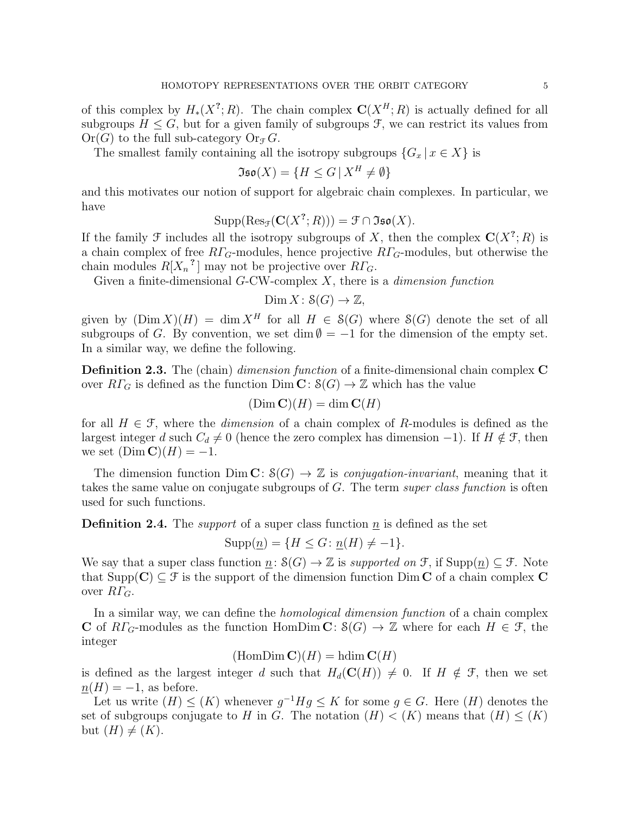of this complex by  $H_*(X^?; R)$ . The chain complex  $\mathbf{C}(X^H; R)$  is actually defined for all subgroups  $H \leq G$ , but for a given family of subgroups  $\mathcal{F}$ , we can restrict its values from  $Or(G)$  to the full sub-category  $Or_{\mathcal{F}} G$ .

The smallest family containing all the isotropy subgroups  $\{G_x | x \in X\}$  is

$$
\mathfrak{Iso}(X) = \{ H \le G \, | \, X^H \neq \emptyset \}
$$

and this motivates our notion of support for algebraic chain complexes. In particular, we have

$$
Supp(Res_{\mathcal{F}}(\mathbf{C}(X^?;R))) = \mathcal{F} \cap \mathfrak{Iso}(X).
$$

If the family  $\mathcal F$  includes all the isotropy subgroups of X, then the complex  $\mathbf C(X^?;R)$  is a chain complex of free  $R\Gamma$ <sub>G</sub>-modules, hence projective  $R\Gamma$ <sub>G</sub>-modules, but otherwise the chain modules  $R[X_n^2]$  may not be projective over  $R\Gamma_G$ .

Given a finite-dimensional  $G$ -CW-complex  $X$ , there is a *dimension function* 

$$
\text{Dim } X \colon \mathcal{S}(G) \to \mathbb{Z},
$$

given by  $(Dim X)(H) = \dim X^H$  for all  $H \in S(G)$  where  $S(G)$  denote the set of all subgroups of G. By convention, we set dim  $\emptyset = -1$  for the dimension of the empty set. In a similar way, we define the following.

Definition 2.3. The (chain) dimension function of a finite-dimensional chain complex C over  $R\Gamma_G$  is defined as the function  $\text{Dim }\mathbf{C} \colon \mathcal{S}(G) \to \mathbb{Z}$  which has the value

$$
(\text{Dim }\mathbf{C})(H) = \dim \mathbf{C}(H)
$$

for all  $H \in \mathcal{F}$ , where the *dimension* of a chain complex of R-modules is defined as the largest integer d such  $C_d \neq 0$  (hence the zero complex has dimension -1). If  $H \notin \mathcal{F}$ , then we set  $(Dim \mathbf{C})(H) = -1$ .

The dimension function  $\text{Dim } \mathbf{C} \colon \mathcal{S}(G) \to \mathbb{Z}$  is *conjugation-invariant*, meaning that it takes the same value on conjugate subgroups of G. The term super class function is often used for such functions.

**Definition 2.4.** The *support* of a super class function  $\underline{n}$  is defined as the set

$$
Supp(\underline{n}) = \{ H \le G \colon \underline{n}(H) \neq -1 \}.
$$

We say that a super class function  $n: S(G) \to \mathbb{Z}$  is supported on F, if  $\text{Supp}(n) \subseteq \mathcal{F}$ . Note that  $\text{Supp}(\mathbf{C}) \subseteq \mathcal{F}$  is the support of the dimension function Dim C of a chain complex C over  $R\Gamma_G$ .

In a similar way, we can define the homological dimension function of a chain complex C of  $R\Gamma_G$ -modules as the function HomDim C:  $\mathcal{S}(G) \to \mathbb{Z}$  where for each  $H \in \mathcal{F}$ , the integer

 $(HomDim C)(H) = \text{hdim } C(H)$ 

is defined as the largest integer d such that  $H_d(\mathbf{C}(H)) \neq 0$ . If  $H \notin \mathcal{F}$ , then we set  $n(H) = -1$ , as before.

Let us write  $(H) \leq (K)$  whenever  $g^{-1}Hg \leq K$  for some  $g \in G$ . Here  $(H)$  denotes the set of subgroups conjugate to H in G. The notation  $(H) < (K)$  means that  $(H) \leq (K)$ but  $(H) \neq (K)$ .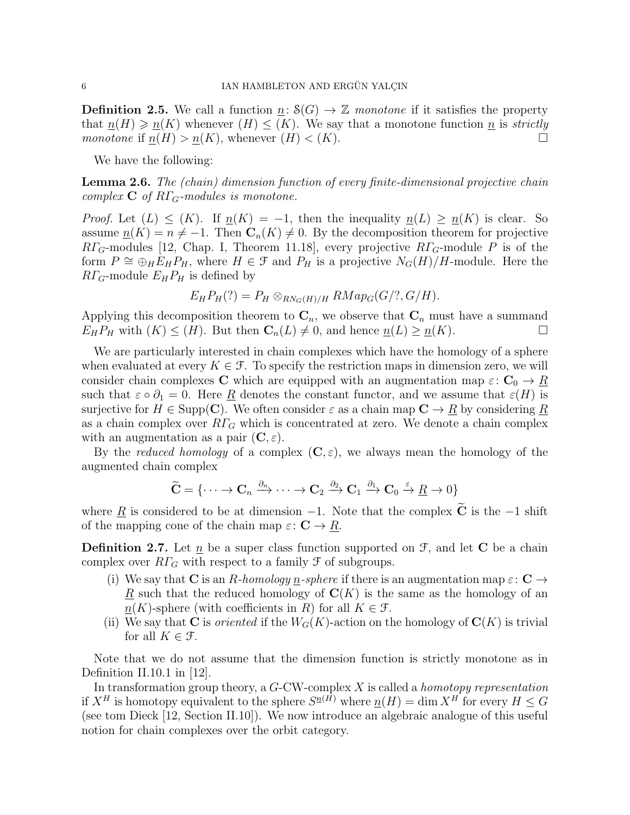**Definition 2.5.** We call a function  $n: S(G) \to \mathbb{Z}$  monotone if it satisfies the property that  $n(H) \geq n(K)$  whenever  $(H) \leq (K)$ . We say that a monotone function n is strictly monotone if  $\underline{n}(H) > \underline{n}(K)$ , whenever  $(H) < (K)$ .

We have the following:

**Lemma 2.6.** The (chain) dimension function of every finite-dimensional projective chain complex  $C$  of  $R\Gamma$ <sub>G</sub>-modules is monotone.

*Proof.* Let  $(L) \leq (K)$ . If  $n(K) = -1$ , then the inequality  $n(L) \geq n(K)$  is clear. So assume  $n(K) = n \neq -1$ . Then  $\mathbb{C}_n(K) \neq 0$ . By the decomposition theorem for projective  $R\Gamma_G$ -modules [12, Chap. I, Theorem 11.18], every projective  $R\Gamma_G$ -module P is of the form  $P \cong \bigoplus_H E_H P_H$ , where  $H \in \mathcal{F}$  and  $P_H$  is a projective  $N_G(H)/H$ -module. Here the  $R\Gamma_G$ -module  $E_H P_H$  is defined by

$$
E_H P_H(?) = P_H \otimes_{RN_G(H)/H} RMap_G(G/?, G/H).
$$

Applying this decomposition theorem to  $\mathbf{C}_n$ , we observe that  $\mathbf{C}_n$  must have a summand  $E_H P_H$  with  $(K) \leq (H)$ . But then  $\mathbb{C}_n(L) \neq 0$ , and hence  $\underline{n}(L) \geq \underline{n}(K)$ .

We are particularly interested in chain complexes which have the homology of a sphere when evaluated at every  $K \in \mathcal{F}$ . To specify the restriction maps in dimension zero, we will consider chain complexes C which are equipped with an augmentation map  $\varepsilon: \mathbb{C}_0 \to \mathbb{R}$ such that  $\varepsilon \circ \partial_1 = 0$ . Here <u>R</u> denotes the constant functor, and we assume that  $\varepsilon(H)$  is surjective for  $H \in \text{Supp}(\mathbb{C})$ . We often consider  $\varepsilon$  as a chain map  $\mathbb{C} \to \underline{R}$  by considering  $\underline{R}$ as a chain complex over  $R\Gamma$ <sub>G</sub> which is concentrated at zero. We denote a chain complex with an augmentation as a pair  $(C, \varepsilon)$ .

By the *reduced homology* of a complex  $(C, \varepsilon)$ , we always mean the homology of the augmented chain complex

$$
\widetilde{\mathbf{C}} = \{\cdots \to \mathbf{C}_n \xrightarrow{\partial_n} \cdots \to \mathbf{C}_2 \xrightarrow{\partial_2} \mathbf{C}_1 \xrightarrow{\partial_1} \mathbf{C}_0 \xrightarrow{\varepsilon} \underline{R} \to 0\}
$$

where <u>R</u> is considered to be at dimension  $-1$ . Note that the complex  $\tilde{C}$  is the  $-1$  shift of the mapping cone of the chain map  $\varepsilon: \mathbf{C} \to \underline{R}$ .

**Definition 2.7.** Let  $\underline{n}$  be a super class function supported on  $\mathcal{F}$ , and let **C** be a chain complex over  $R\Gamma_G$  with respect to a family  $\mathcal F$  of subgroups.

- (i) We say that C is an R-homology n-sphere if there is an augmentation map  $\varepsilon: \mathbb{C} \to$  $\underline{R}$  such that the reduced homology of  $\mathbf{C}(K)$  is the same as the homology of an  $n(K)$ -sphere (with coefficients in R) for all  $K \in \mathcal{F}$ .
- (ii) We say that C is *oriented* if the  $W_G(K)$ -action on the homology of  $C(K)$  is trivial for all  $K \in \mathcal{F}$ .

Note that we do not assume that the dimension function is strictly monotone as in Definition II.10.1 in [12].

In transformation group theory, a  $G$ -CW-complex  $X$  is called a *homotopy representation* if  $X^H$  is homotopy equivalent to the sphere  $S^{\underline{n}(H)}$  where  $\underline{n}(H) = \dim X^H$  for every  $H \leq G$ (see tom Dieck [12, Section II.10]). We now introduce an algebraic analogue of this useful notion for chain complexes over the orbit category.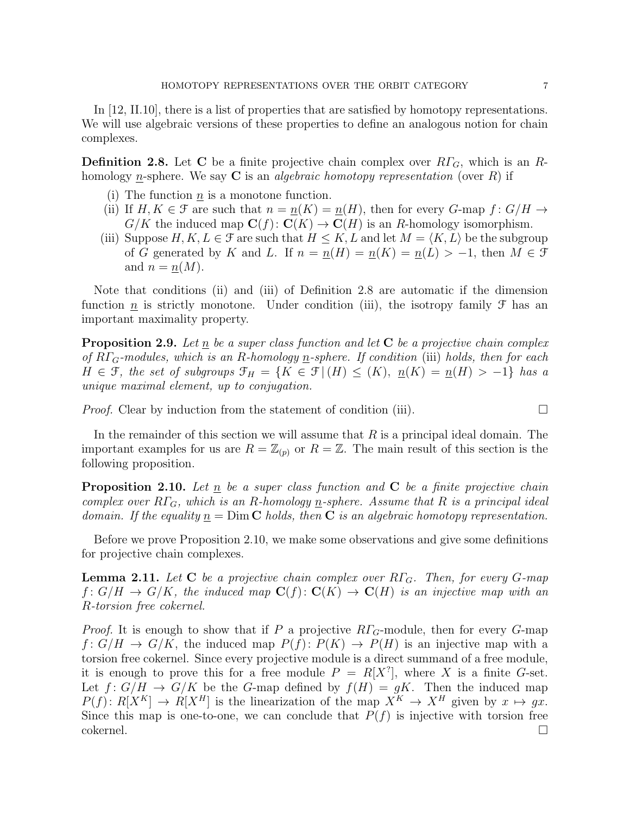In [12, II.10], there is a list of properties that are satisfied by homotopy representations. We will use algebraic versions of these properties to define an analogous notion for chain complexes.

**Definition 2.8.** Let C be a finite projective chain complex over  $R\Gamma_G$ , which is an Rhomology n-sphere. We say C is an *algebraic homotopy representation* (over R) if

- (i) The function  $n$  is a monotone function.
- (ii) If  $H, K \in \mathcal{F}$  are such that  $n = n(K) = n(H)$ , then for every G-map  $f: G/H \to$  $G/K$  the induced map  $\mathbf{C}(f): \mathbf{C}(K) \to \mathbf{C}(H)$  is an R-homology isomorphism.
- (iii) Suppose  $H, K, L \in \mathcal{F}$  are such that  $H \leq K, L$  and let  $M = \langle K, L \rangle$  be the subgroup of G generated by K and L. If  $n = n(H) = n(K) = n(L) > -1$ , then  $M \in \mathcal{F}$ and  $n = n(M)$ .

Note that conditions (ii) and (iii) of Definition 2.8 are automatic if the dimension function  $\underline{n}$  is strictly monotone. Under condition (iii), the isotropy family  $\mathcal F$  has an important maximality property.

**Proposition 2.9.** Let n be a super class function and let  $C$  be a projective chain complex of  $R\Gamma_G$ -modules, which is an R-homology n-sphere. If condition (iii) holds, then for each  $H \in \mathcal{F}$ , the set of subgroups  $\mathcal{F}_H = \{K \in \mathcal{F} \mid (H) \leq (K), \underline{n}(K) = \underline{n}(H) > -1\}$  has a unique maximal element, up to conjugation.

*Proof.* Clear by induction from the statement of condition (iii).

In the remainder of this section we will assume that  $R$  is a principal ideal domain. The important examples for us are  $R = \mathbb{Z}_{(p)}$  or  $R = \mathbb{Z}$ . The main result of this section is the following proposition.

**Proposition 2.10.** Let n be a super class function and  $C$  be a finite projective chain complex over  $R\Gamma_G$ , which is an R-homology n-sphere. Assume that R is a principal ideal domain. If the equality  $n = Dim C$  holds, then C is an algebraic homotopy representation.

Before we prove Proposition 2.10, we make some observations and give some definitions for projective chain complexes.

**Lemma 2.11.** Let C be a projective chain complex over  $R\Gamma_G$ . Then, for every G-map  $f: G/H \to G/K$ , the induced map  $\mathbf{C}(f): \mathbf{C}(K) \to \mathbf{C}(H)$  is an injective map with an R-torsion free cokernel.

*Proof.* It is enough to show that if P a projective  $R\Gamma$ <sub>G</sub>-module, then for every G-map  $f: G/H \to G/K$ , the induced map  $P(f): P(K) \to P(H)$  is an injective map with a torsion free cokernel. Since every projective module is a direct summand of a free module, it is enough to prove this for a free module  $P = R[X^?]$ , where X is a finite G-set. Let  $f: G/H \to G/K$  be the G-map defined by  $f(H) = gK$ . Then the induced map  $P(f): R[X^K] \to R[X^H]$  is the linearization of the map  $X^K \to X^H$  given by  $x \mapsto gx$ . Since this map is one-to-one, we can conclude that  $P(f)$  is injective with torsion free  $\Box$ cokernel.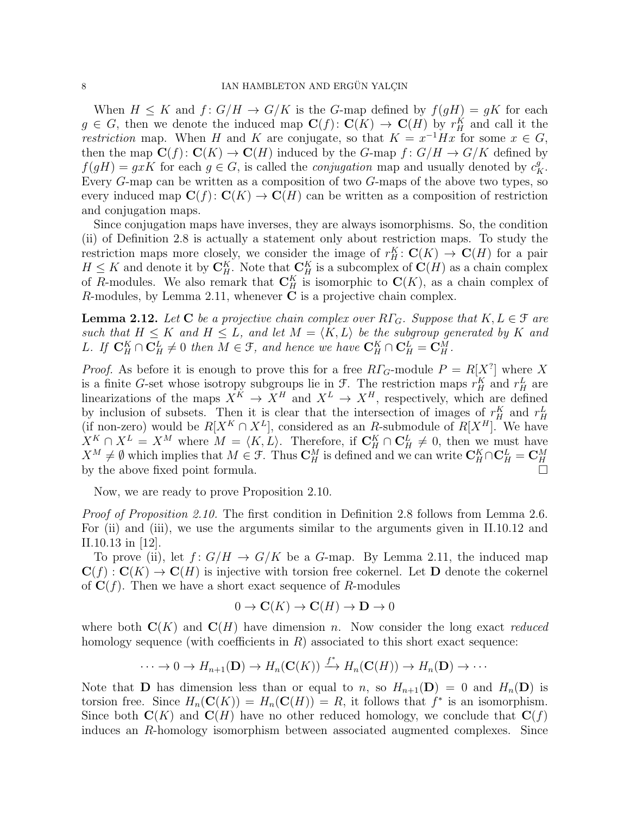When  $H \leq K$  and  $f: G/H \to G/K$  is the G-map defined by  $f(gH) = gK$  for each  $g \in G$ , then we denote the induced map  $\mathbf{C}(f) \colon \mathbf{C}(K) \to \mathbf{C}(H)$  by  $r_H^K$  and call it the *restriction* map. When H and K are conjugate, so that  $K = x^{-1}Hx$  for some  $x \in G$ , then the map  $\mathbf{C}(f): \mathbf{C}(K) \to \mathbf{C}(H)$  induced by the G-map  $f: G/H \to G/K$  defined by  $f(gH) = gxK$  for each  $g \in G$ , is called the *conjugation* map and usually denoted by  $c_K^g$ . Every G-map can be written as a composition of two G-maps of the above two types, so every induced map  $\mathbf{C}(f): \mathbf{C}(K) \to \mathbf{C}(H)$  can be written as a composition of restriction and conjugation maps.

Since conjugation maps have inverses, they are always isomorphisms. So, the condition (ii) of Definition 2.8 is actually a statement only about restriction maps. To study the restriction maps more closely, we consider the image of  $r_H^K: \mathbf{C}(K) \to \mathbf{C}(H)$  for a pair  $H \leq K$  and denote it by  $\mathbf{C}_H^K$ . Note that  $\mathbf{C}_H^K$  is a subcomplex of  $\mathbf{C}(H)$  as a chain complex of R-modules. We also remark that  $\mathbb{C}_H^K$  is isomorphic to  $\mathbb{C}(K)$ , as a chain complex of R-modules, by Lemma 2.11, whenever  $C$  is a projective chain complex.

**Lemma 2.12.** Let C be a projective chain complex over  $R\Gamma_G$ . Suppose that  $K, L \in \mathcal{F}$  are such that  $H \leq K$  and  $H \leq L$ , and let  $M = \langle K, L \rangle$  be the subgroup generated by K and L. If  $\mathbf{C}_H^K \cap \mathbf{C}_H^L \neq 0$  then  $M \in \mathcal{F}$ , and hence we have  $\mathbf{C}_H^K \cap \mathbf{C}_H^L = \mathbf{C}_H^M$ .

*Proof.* As before it is enough to prove this for a free  $R\Gamma_G$ -module  $P = R[X^?]$  where X is a finite G-set whose isotropy subgroups lie in  $\mathcal{F}$ . The restriction maps  $r_H^K$  and  $r_H^L$  are linearizations of the maps  $X^K \to X^H$  and  $X^L \to X^H$ , respectively, which are defined by inclusion of subsets. Then it is clear that the intersection of images of  $r_H^K$  and  $r_H^L$  (if non-zero) would be  $R[X^K \cap X^L]$ , considered as an R-submodule of  $R[X^H]$ . We have  $X^K \cap X^L = X^M$  where  $M = \langle K, L \rangle$ . Therefore, if  $\mathbb{C}_H^K \cap \mathbb{C}_H^L \neq 0$ , then we must have  $X^M \neq \emptyset$  which implies that  $M \in \mathcal{F}$ . Thus  $\mathbf{C}_H^M$  is defined and we can write  $\mathbf{C}_H^K \cap \mathbf{C}_H^L = \mathbf{C}_H^M$  by the above fixed point formula.

Now, we are ready to prove Proposition 2.10.

Proof of Proposition 2.10. The first condition in Definition 2.8 follows from Lemma 2.6. For (ii) and (iii), we use the arguments similar to the arguments given in II.10.12 and II.10.13 in [12].

To prove (ii), let  $f: G/H \to G/K$  be a G-map. By Lemma 2.11, the induced map  $\mathbf{C}(f): \mathbf{C}(K) \to \mathbf{C}(H)$  is injective with torsion free cokernel. Let **D** denote the cokernel of  $C(f)$ . Then we have a short exact sequence of R-modules

$$
0 \to \mathbf{C}(K) \to \mathbf{C}(H) \to \mathbf{D} \to 0
$$

where both  $\mathbf{C}(K)$  and  $\mathbf{C}(H)$  have dimension n. Now consider the long exact reduced homology sequence (with coefficients in  $R$ ) associated to this short exact sequence:

$$
\cdots \to 0 \to H_{n+1}(\mathbf{D}) \to H_n(\mathbf{C}(K)) \xrightarrow{f^*} H_n(\mathbf{C}(H)) \to H_n(\mathbf{D}) \to \cdots
$$

Note that **D** has dimension less than or equal to n, so  $H_{n+1}(\mathbf{D}) = 0$  and  $H_n(\mathbf{D})$  is torsion free. Since  $H_n(\mathbf{C}(K)) = H_n(\mathbf{C}(H)) = R$ , it follows that  $f^*$  is an isomorphism. Since both  $\mathbf{C}(K)$  and  $\mathbf{C}(H)$  have no other reduced homology, we conclude that  $\mathbf{C}(f)$ induces an R-homology isomorphism between associated augmented complexes. Since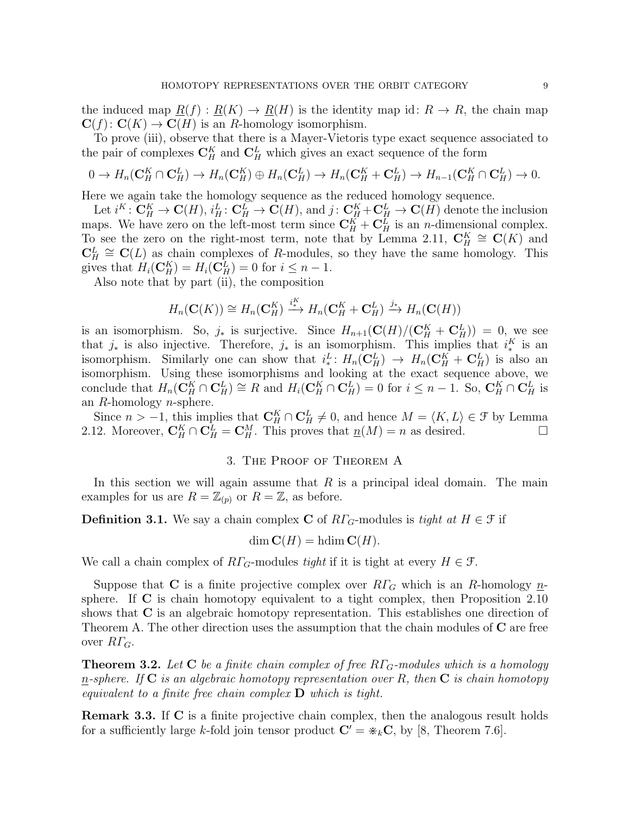the induced map  $R(f): R(K) \to R(H)$  is the identity map id:  $R \to R$ , the chain map  $\mathbf{C}(f): \mathbf{C}(K) \to \mathbf{C}(H)$  is an R-homology isomorphism.

To prove (iii), observe that there is a Mayer-Vietoris type exact sequence associated to the pair of complexes  $\mathbf{C}_H^K$  and  $\mathbf{C}_H^L$  which gives an exact sequence of the form

$$
0 \to H_n(\mathbf{C}_H^K \cap \mathbf{C}_H^L) \to H_n(\mathbf{C}_H^K) \oplus H_n(\mathbf{C}_H^L) \to H_n(\mathbf{C}_H^K + \mathbf{C}_H^L) \to H_{n-1}(\mathbf{C}_H^K \cap \mathbf{C}_H^L) \to 0.
$$

Here we again take the homology sequence as the reduced homology sequence.

Let  $i^K: \mathbf{C}_H^K \to \mathbf{C}(H)$ ,  $i_H^L: \mathbf{C}_H^L \to \mathbf{C}(H)$ , and  $j: \mathbf{C}_H^K + \mathbf{C}_H^L \to \mathbf{C}(H)$  denote the inclusion maps. We have zero on the left-most term since  $\mathbf{C}_H^K + \mathbf{C}_H^L$  is an *n*-dimensional complex. To see the zero on the right-most term, note that by Lemma 2.11,  $\mathbf{C}_H^K \cong \mathbf{C}(K)$  and  $\mathbf{C}_H^L \cong \mathbf{C}(L)$  as chain complexes of R-modules, so they have the same homology. This gives that  $H_i(\mathbf{C}_H^K) = H_i(\mathbf{C}_H^L) = 0$  for  $i \leq n - 1$ .

Also note that by part (ii), the composition

$$
H_n(\mathbf{C}(K)) \cong H_n(\mathbf{C}_H^K) \xrightarrow{i^K} H_n(\mathbf{C}_H^K + \mathbf{C}_H^L) \xrightarrow{j_*} H_n(\mathbf{C}(H))
$$

is an isomorphism. So,  $j_*$  is surjective. Since  $H_{n+1}(\mathbf{C}(H)/(\mathbf{C}_H^K+\mathbf{C}_H^L))=0$ , we see that  $j_*$  is also injective. Therefore,  $j_*$  is an isomorphism. This implies that  $i_*^K$  is an isomorphism. Similarly one can show that  $i^L_*: H_n(\mathbf{C}_H^L) \to H_n(\mathbf{C}_H^K + \mathbf{C}_H^L)$  is also an isomorphism. Using these isomorphisms and looking at the exact sequence above, we conclude that  $H_n(\tilde{\mathbf{C}}_H^K \cap \mathbf{C}_H^L) \cong R$  and  $H_i(\mathbf{C}_H^K \cap \mathbf{C}_H^L) = 0$  for  $i \leq n-1$ . So,  $\mathbf{C}_H^K \cap \mathbf{C}_H^L$  is an R-homology n-sphere.

Since  $n > -1$ , this implies that  $\mathbf{C}_H^K \cap \mathbf{C}_H^L \neq 0$ , and hence  $M = \langle K, L \rangle \in \mathcal{F}$  by Lemma 2.12. Moreover,  $\mathbf{C}_H^K \cap \mathbf{C}_H^L = \mathbf{C}_H^M$ . This proves that  $\underline{n}(M) = n$  as desired.

# 3. The Proof of Theorem A

In this section we will again assume that  $R$  is a principal ideal domain. The main examples for us are  $R = \mathbb{Z}_{(p)}$  or  $R = \mathbb{Z}$ , as before.

**Definition 3.1.** We say a chain complex C of  $R\Gamma_G$ -modules is tight at  $H \in \mathcal{F}$  if

$$
\dim \mathbf{C}(H) = \text{hdim }\mathbf{C}(H).
$$

We call a chain complex of  $R\Gamma_G$ -modules tight if it is tight at every  $H \in \mathcal{F}$ .

Suppose that C is a finite projective complex over  $R\Gamma$ <sub>G</sub> which is an R-homology  $n$ sphere. If  $\bf{C}$  is chain homotopy equivalent to a tight complex, then Proposition 2.10 shows that C is an algebraic homotopy representation. This establishes one direction of Theorem A. The other direction uses the assumption that the chain modules of  $C$  are free over  $R\Gamma_G$ .

**Theorem 3.2.** Let  $C$  be a finite chain complex of free  $R\Gamma_G$ -modules which is a homology <u>n</u>-sphere. If C is an algebraic homotopy representation over R, then C is chain homotopy equivalent to a finite free chain complex  $\bf{D}$  which is tight.

**Remark 3.3.** If C is a finite projective chain complex, then the analogous result holds for a sufficiently large k-fold join tensor product  $\mathbf{C}' = \varkappa_k \mathbf{C}$ , by [8, Theorem 7.6].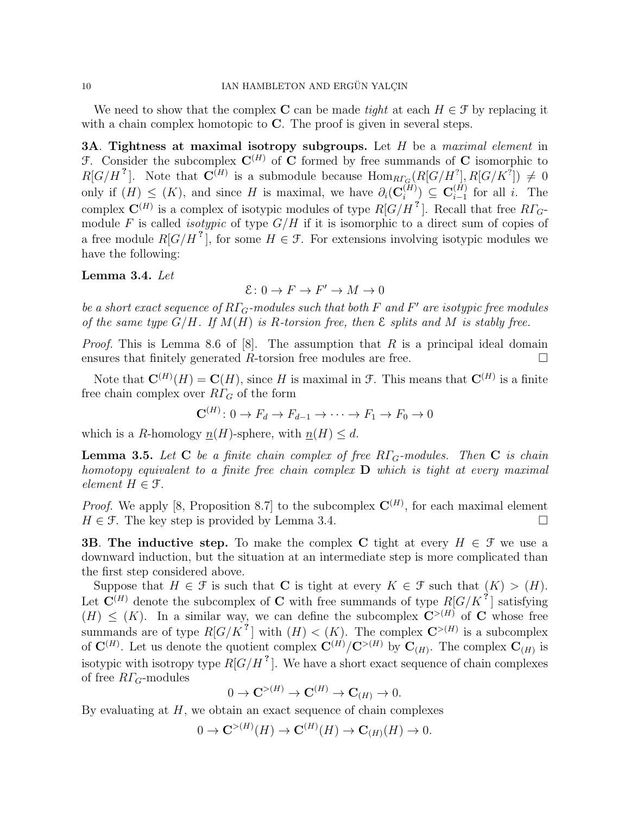We need to show that the complex C can be made tight at each  $H \in \mathcal{F}$  by replacing it with a chain complex homotopic to C. The proof is given in several steps.

3A. Tightness at maximal isotropy subgroups. Let  $H$  be a maximal element in F. Consider the subcomplex  $\mathbf{C}^{(H)}$  of C formed by free summands of C isomorphic to  $R[G/H^2]$ . Note that  $\mathbf{C}^{(H)}$  is a submodule because  $\text{Hom}_{R\Gamma_G}(R[G/H^2], R[G/K^2]) \neq 0$ only if  $(H) \leq (K)$ , and since H is maximal, we have  $\partial_i(\mathbf{C}_i^{(H)})$  $\binom{(H)}{i}\ \subseteq\ \mathbf{C}^{(H)}_{i-1}$  $i-1 \atop i-1}$  for all *i*. The complex  $\mathbf{C}^{(H)}$  is a complex of isotypic modules of type  $R[G/H^2]$ . Recall that free  $R\Gamma_G$ module F is called *isotypic* of type  $G/H$  if it is isomorphic to a direct sum of copies of a free module  $R[G/H^2]$ , for some  $H \in \mathcal{F}$ . For extensions involving isotypic modules we have the following:

Lemma 3.4. Let

$$
\mathcal{E} \colon 0 \to F \to F' \to M \to 0
$$

be a short exact sequence of  $R\Gamma_G$ -modules such that both F and F' are isotypic free modules of the same type  $G/H$ . If  $M(H)$  is R-torsion free, then  $\mathcal E$  splits and  $M$  is stably free.

*Proof.* This is Lemma 8.6 of [8]. The assumption that R is a principal ideal domain ensures that finitely generated R-torsion free modules are free.

Note that  $\mathbf{C}^{(H)}(H) = \mathbf{C}(H)$ , since H is maximal in F. This means that  $\mathbf{C}^{(H)}$  is a finite free chain complex over  $R\Gamma_G$  of the form

$$
\mathbf{C}^{(H)} \colon 0 \to F_d \to F_{d-1} \to \cdots \to F_1 \to F_0 \to 0
$$

which is a R-homology  $n(H)$ -sphere, with  $n(H) \leq d$ .

**Lemma 3.5.** Let **C** be a finite chain complex of free  $R\Gamma_G$ -modules. Then **C** is chain homotopy equivalent to a finite free chain complex  $D$  which is tight at every maximal element  $H \in \mathcal{F}$ .

*Proof.* We apply [8, Proposition 8.7] to the subcomplex  $\mathbf{C}^{(H)}$ , for each maximal element  $H \in \mathcal{F}$ . The key step is provided by Lemma 3.4.

**3B. The inductive step.** To make the complex C tight at every  $H \in \mathcal{F}$  we use a downward induction, but the situation at an intermediate step is more complicated than the first step considered above.

Suppose that  $H \in \mathcal{F}$  is such that C is tight at every  $K \in \mathcal{F}$  such that  $(K) > (H)$ . Let  $\mathbf{C}^{(H)}$  denote the subcomplex of C with free summands of type  $R[G/K^2]$  satisfying  $(H) \leq (K)$ . In a similar way, we can define the subcomplex  $\mathbb{C}^{>(H)}$  of C whose free summands are of type  $R[G/K^2]$  with  $(H) < (K)$ . The complex  $\mathbb{C}^{>(H)}$  is a subcomplex of  $\mathbf{C}^{(H)}$ . Let us denote the quotient complex  $\mathbf{C}^{(H)}/\mathbf{C}^{>(H)}$  by  $\mathbf{C}_{(H)}$ . The complex  $\mathbf{C}_{(H)}$  is isotypic with isotropy type  $R[G/H^2]$ . We have a short exact sequence of chain complexes of free  $R\Gamma$ <sub>G</sub>-modules

$$
0 \to \mathbf{C}^{>(H)} \to \mathbf{C}^{(H)} \to \mathbf{C}_{(H)} \to 0.
$$

By evaluating at  $H$ , we obtain an exact sequence of chain complexes

$$
0 \to \mathbf{C}^{>(H)}(H) \to \mathbf{C}^{(H)}(H) \to \mathbf{C}_{(H)}(H) \to 0.
$$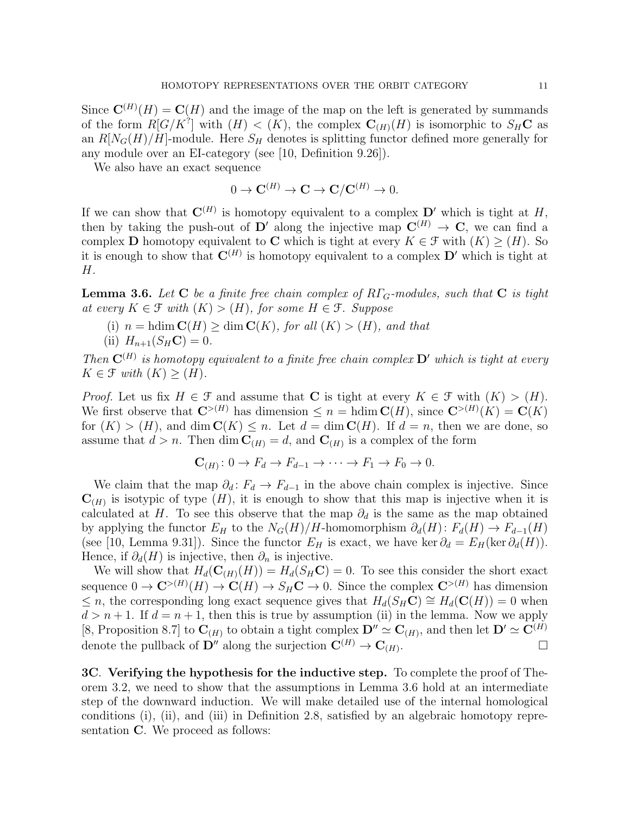Since  $\mathbf{C}^{(H)}(H) = \mathbf{C}(H)$  and the image of the map on the left is generated by summands of the form  $R[G/K^?]$  with  $(H) < (K)$ , the complex  $\mathbf{C}_{(H)}(H)$  is isomorphic to  $S_H \mathbf{C}$  as an  $R[N_G(H)/H]$ -module. Here  $S_H$  denotes is splitting functor defined more generally for any module over an EI-category (see [10, Definition 9.26]).

We also have an exact sequence

$$
0 \to \mathbf{C}^{(H)} \to \mathbf{C} \to \mathbf{C}/\mathbf{C}^{(H)} \to 0.
$$

If we can show that  $\mathbf{C}^{(H)}$  is homotopy equivalent to a complex  $\mathbf{D}'$  which is tight at H, then by taking the push-out of D' along the injective map  $\mathbf{C}^{(H)} \to \mathbf{C}$ , we can find a complex D homotopy equivalent to C which is tight at every  $K \in \mathcal{F}$  with  $(K) \geq (H)$ . So it is enough to show that  $\mathbf{C}^{(H)}$  is homotopy equivalent to a complex  $\mathbf{D}'$  which is tight at H.

**Lemma 3.6.** Let C be a finite free chain complex of  $R\Gamma$ <sub>G</sub>-modules, such that C is tight at every  $K \in \mathcal{F}$  with  $(K) > (H)$ , for some  $H \in \mathcal{F}$ . Suppose

(i)  $n = \text{hdim } \mathbf{C}(H) \geq \dim \mathbf{C}(K)$ , for all  $(K) > (H)$ , and that (ii)  $H_{n+1}(S_H \mathbf{C}) = 0.$ 

Then  $\mathbf{C}^{(H)}$  is homotopy equivalent to a finite free chain complex  $\mathbf{D}'$  which is tight at every  $K \in \mathcal{F}$  with  $(K) \geq (H)$ .

*Proof.* Let us fix  $H \in \mathcal{F}$  and assume that **C** is tight at every  $K \in \mathcal{F}$  with  $(K) > (H)$ . We first observe that  $\mathbb{C}^{>(H)}$  has dimension  $\leq n = \text{hdim } \mathbb{C}(H)$ , since  $\mathbb{C}^{>(H)}(K) = \mathbb{C}(K)$ for  $(K) > (H)$ , and dim  $\mathbb{C}(K) \leq n$ . Let  $d = \dim \mathbb{C}(H)$ . If  $d = n$ , then we are done, so assume that  $d > n$ . Then dim  $\mathbf{C}_{(H)} = d$ , and  $\mathbf{C}_{(H)}$  is a complex of the form

$$
\mathbf{C}_{(H)}: 0 \to F_d \to F_{d-1} \to \cdots \to F_1 \to F_0 \to 0.
$$

We claim that the map  $\partial_d : F_d \to F_{d-1}$  in the above chain complex is injective. Since  $\mathbf{C}_{(H)}$  is isotypic of type  $(H)$ , it is enough to show that this map is injective when it is calculated at H. To see this observe that the map  $\partial_d$  is the same as the map obtained by applying the functor  $E_H$  to the  $N_G(H)/H$ -homomorphism  $\partial_d(H): F_d(H) \to F_{d-1}(H)$ (see [10, Lemma 9.31]). Since the functor  $E_H$  is exact, we have ker  $\partial_d = E_H(\ker \partial_d(H))$ . Hence, if  $\partial_d(H)$  is injective, then  $\partial_n$  is injective.

We will show that  $H_d(C_{(H)}(H)) = H_d(S_H\mathbf{C}) = 0$ . To see this consider the short exact sequence  $0 \to \mathbf{C}^{>(H)}(H) \to \mathbf{C}(H) \to S_H \mathbf{C} \to 0$ . Since the complex  $\mathbf{C}^{>(H)}$  has dimension ≤ *n*, the corresponding long exact sequence gives that  $H_d(S_H\mathbf{C}) \cong H_d(\mathbf{C}(H)) = 0$  when  $d > n + 1$ . If  $d = n + 1$ , then this is true by assumption (ii) in the lemma. Now we apply [8, Proposition 8.7] to  $\mathbf{C}_{(H)}$  to obtain a tight complex  $\mathbf{D}'' \simeq \mathbf{C}_{(H)}$ , and then let  $\mathbf{D}' \simeq \mathbf{C}^{(H)}$ denote the pullback of  $\mathbf{D}^{\prime\prime}$  along the surjection  $\mathbf{C}^{(H)} \rightarrow \mathbf{C}_{(H)}$ . .

3C. Verifying the hypothesis for the inductive step. To complete the proof of Theorem 3.2, we need to show that the assumptions in Lemma 3.6 hold at an intermediate step of the downward induction. We will make detailed use of the internal homological conditions (i), (ii), and (iii) in Definition 2.8, satisfied by an algebraic homotopy representation **C**. We proceed as follows: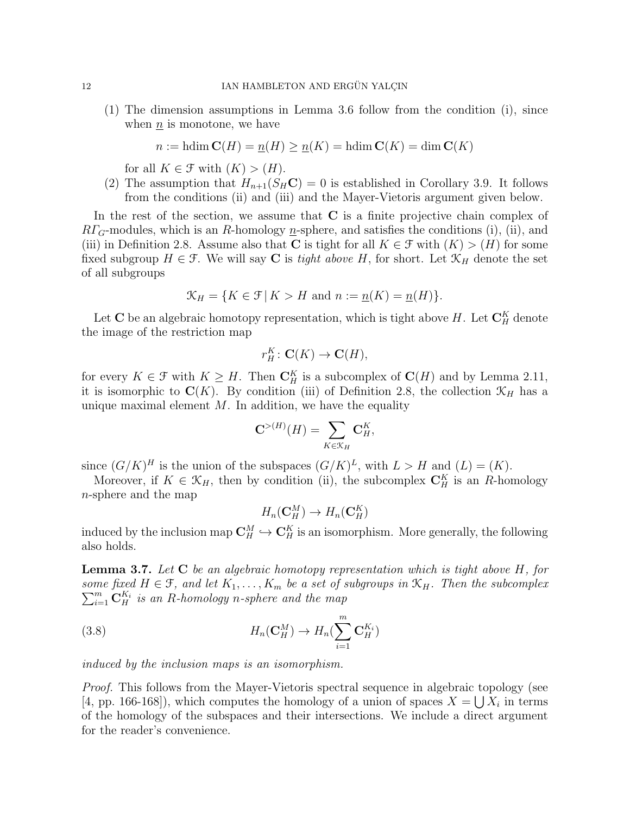(1) The dimension assumptions in Lemma 3.6 follow from the condition (i), since when  $n_i$  is monotone, we have

$$
n := \text{hdim } C(H) = \underline{n}(H) \ge \underline{n}(K) = \text{hdim } C(K) = \dim C(K)
$$

for all  $K \in \mathcal{F}$  with  $(K) > (H)$ .

(2) The assumption that  $H_{n+1}(S_H\mathbf{C})=0$  is established in Corollary 3.9. It follows from the conditions (ii) and (iii) and the Mayer-Vietoris argument given below.

In the rest of the section, we assume that C is a finite projective chain complex of  $RT_G$ -modules, which is an R-homology  $n$ -sphere, and satisfies the conditions (i), (ii), and (iii) in Definition 2.8. Assume also that C is tight for all  $K \in \mathcal{F}$  with  $(K) > (H)$  for some fixed subgroup  $H \in \mathcal{F}$ . We will say **C** is *tight above* H, for short. Let  $\mathcal{K}_H$  denote the set of all subgroups

$$
\mathcal{K}_H = \{ K \in \mathcal{F} \mid K > H \text{ and } n := \underline{n}(K) = \underline{n}(H) \}.
$$

Let C be an algebraic homotopy representation, which is tight above H. Let  $\mathbf{C}_H^K$  denote the image of the restriction map

$$
r_H^K\colon \mathbf{C}(K)\to \mathbf{C}(H),
$$

for every  $K \in \mathcal{F}$  with  $K \geq H$ . Then  $\mathbf{C}_H^K$  is a subcomplex of  $\mathbf{C}(H)$  and by Lemma 2.11, it is isomorphic to  $\mathbf{C}(K)$ . By condition (iii) of Definition 2.8, the collection  $\mathcal{K}_H$  has a unique maximal element  $M$ . In addition, we have the equality

$$
\mathbf{C}^{>(H)}(H) = \sum_{K \in \mathcal{K}_H} \mathbf{C}_H^K,
$$

since  $(G/K)^H$  is the union of the subspaces  $(G/K)^L$ , with  $L > H$  and  $(L) = (K)$ .

Moreover, if  $K \in \mathcal{K}_H$ , then by condition (ii), the subcomplex  $\mathbf{C}_H^K$  is an R-homology n-sphere and the map

$$
H_n(\mathbf{C}_H^M) \to H_n(\mathbf{C}_H^K)
$$

induced by the inclusion map  $\mathbf{C}_H^M \hookrightarrow \mathbf{C}_H^K$  is an isomorphism. More generally, the following also holds.

**Lemma 3.7.** Let  $C$  be an algebraic homotopy representation which is tight above  $H$ , for some fixed  $H \in \mathcal{F}$ , and let  $K_1, \ldots, K_m$  be a set of subgroups in  $\mathcal{K}_H$ . Then the subcomplex  $\sum_{i=1}^{m} \mathbf{C}_{H}^{K_{i}}$  is an R-homology n-sphere and the map

(3.8) 
$$
H_n(\mathbf{C}_H^M) \to H_n(\sum_{i=1}^m \mathbf{C}_H^{K_i})
$$

induced by the inclusion maps is an isomorphism.

*Proof.* This follows from the Mayer-Vietoris spectral sequence in algebraic topology (see [4, pp. 166-168]), which computes the homology of a union of spaces  $X = \bigcup X_i$  in terms of the homology of the subspaces and their intersections. We include a direct argument for the reader's convenience.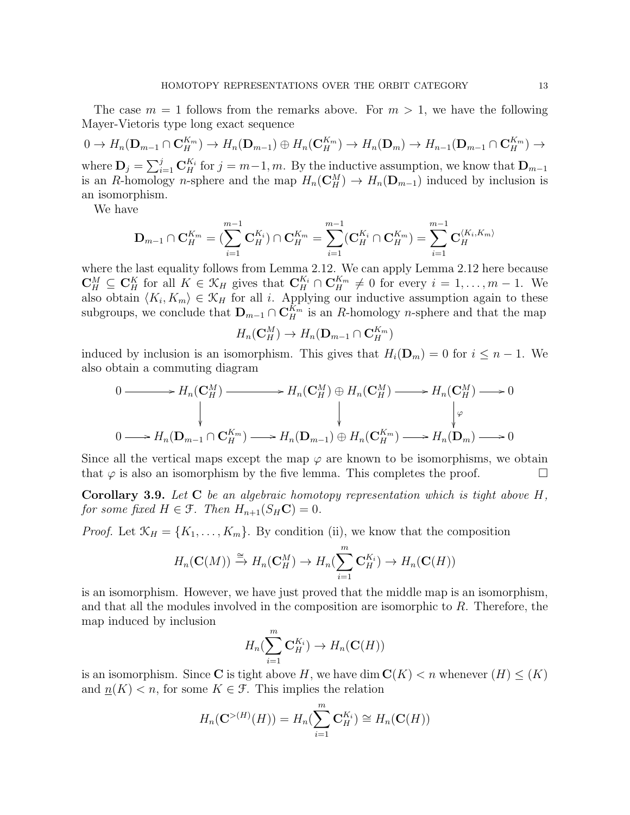The case  $m = 1$  follows from the remarks above. For  $m > 1$ , we have the following Mayer-Vietoris type long exact sequence

 $0 \to H_n(\mathbf{D}_{m-1} \cap \mathbf{C}_H^{K_m}) \to H_n(\mathbf{D}_{m-1}) \oplus H_n(\mathbf{C}_H^{K_m}) \to H_n(\mathbf{D}_m) \to H_{n-1}(\mathbf{D}_{m-1} \cap \mathbf{C}_H^{K_m}) \to$ where  $\mathbf{D}_j = \sum_{i=1}^j \mathbf{C}_H^{K_i}$  for  $j = m-1, m$ . By the inductive assumption, we know that  $\mathbf{D}_{m-1}$ is an R-homology n-sphere and the map  $H_n(\mathbb{C}_H^M) \to H_n(\mathbb{D}_{m-1})$  induced by inclusion is an isomorphism.

We have

$$
\mathbf{D}_{m-1} \cap \mathbf{C}_{H}^{K_{m}} = \left( \sum_{i=1}^{m-1} \mathbf{C}_{H}^{K_{i}} \right) \cap \mathbf{C}_{H}^{K_{m}} = \sum_{i=1}^{m-1} (\mathbf{C}_{H}^{K_{i}} \cap \mathbf{C}_{H}^{K_{m}}) = \sum_{i=1}^{m-1} \mathbf{C}_{H}^{\langle K_{i}, K_{m} \rangle}
$$

where the last equality follows from Lemma 2.12. We can apply Lemma 2.12 here because  $\mathbf{C}_H^M \subseteq \mathbf{C}_H^K$  for all  $K \in \mathcal{K}_H$  gives that  $\mathbf{C}_H^{K_i} \cap \mathbf{C}_H^{K_m} \neq 0$  for every  $i = 1, \ldots, m-1$ . We also obtain  $\langle K_i, K_m \rangle \in \mathcal{K}_H$  for all i. Applying our inductive assumption again to these subgroups, we conclude that  $D_{m-1} \cap C_H^{K_m}$  is an R-homology n-sphere and that the map

$$
H_n(\mathbf{C}_H^M) \to H_n(\mathbf{D}_{m-1} \cap \mathbf{C}_H^{K_m})
$$

induced by inclusion is an isomorphism. This gives that  $H_i(\mathbf{D}_m) = 0$  for  $i \leq n - 1$ . We also obtain a commuting diagram

$$
0 \longrightarrow H_n(\mathbf{C}_H^M) \longrightarrow H_n(\mathbf{C}_H^M) \oplus H_n(\mathbf{C}_H^M) \longrightarrow H_n(\mathbf{C}_H^M) \longrightarrow 0
$$
  
\n
$$
\downarrow \qquad \qquad \downarrow \qquad \qquad \downarrow
$$
  
\n
$$
0 \longrightarrow H_n(\mathbf{D}_{m-1} \cap \mathbf{C}_H^{K_m}) \longrightarrow H_n(\mathbf{D}_{m-1}) \oplus H_n(\mathbf{C}_H^{K_m}) \longrightarrow H_n(\mathbf{D}_m) \longrightarrow 0
$$

Since all the vertical maps except the map  $\varphi$  are known to be isomorphisms, we obtain that  $\varphi$  is also an isomorphism by the five lemma. This completes the proof.

**Corollary 3.9.** Let  $C$  be an algebraic homotopy representation which is tight above  $H$ , for some fixed  $H \in \mathcal{F}$ . Then  $H_{n+1}(S_H \mathbf{C}) = 0$ .

*Proof.* Let  $\mathcal{K}_H = \{K_1, \ldots, K_m\}$ . By condition (ii), we know that the composition

$$
H_n(\mathbf{C}(M)) \xrightarrow{\cong} H_n(\mathbf{C}_H^M) \to H_n(\sum_{i=1}^m \mathbf{C}_H^{K_i}) \to H_n(\mathbf{C}(H))
$$

is an isomorphism. However, we have just proved that the middle map is an isomorphism, and that all the modules involved in the composition are isomorphic to R. Therefore, the map induced by inclusion

$$
H_n(\sum_{i=1}^m \mathbf{C}_H^{K_i}) \to H_n(\mathbf{C}(H))
$$

is an isomorphism. Since C is tight above H, we have dim  $C(K) < n$  whenever  $(H) \leq (K)$ and  $\underline{n}(K) < n$ , for some  $K \in \mathcal{F}$ . This implies the relation

$$
H_n(\mathbf{C}^{>(H)}(H)) = H_n(\sum_{i=1}^m \mathbf{C}_H^{K_i}) \cong H_n(\mathbf{C}(H))
$$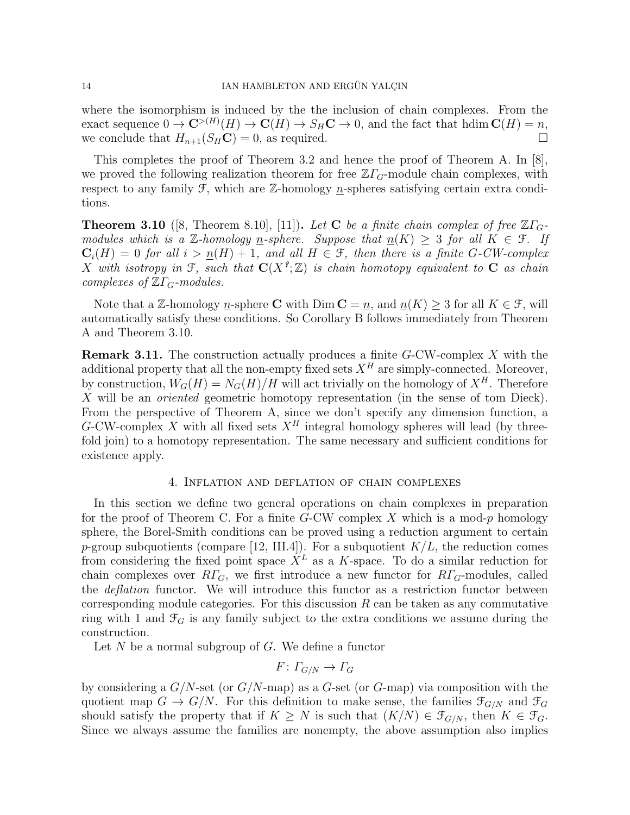where the isomorphism is induced by the the inclusion of chain complexes. From the exact sequence  $0 \to \mathbf{C}^{>(H)}(H) \to \mathbf{C}(H) \to S_H \mathbf{C} \to 0$ , and the fact that  $\text{hdim } \mathbf{C}(H) = n$ , we conclude that  $H_{n+1}(S_H \mathbf{C}) = 0$ , as required.

This completes the proof of Theorem 3.2 and hence the proof of Theorem A. In [8], we proved the following realization theorem for free  $\mathbb{Z}\Gamma_G$ -module chain complexes, with respect to any family  $\mathcal{F}$ , which are  $\mathbb{Z}$ -homology *n*-spheres satisfying certain extra conditions.

**Theorem 3.10** ([8, Theorem 8.10], [11]). Let **C** be a finite chain complex of free  $\mathbb{Z}\Gamma_G$ . modules which is a Z-homology n-sphere. Suppose that  $n(K) \geq 3$  for all  $K \in \mathcal{F}$ . If  $C_i(H) = 0$  for all  $i > n(H) + 1$ , and all  $H \in \mathcal{F}$ , then there is a finite G-CW-complex X with isotropy in F, such that  $\mathbf{C}(X^2;\mathbb{Z})$  is chain homotopy equivalent to C as chain complexes of  $\mathbb{Z}\Gamma_G$ -modules.

Note that a Z-homology n-sphere C with  $\text{Dim } C = n$ , and  $n(K) \geq 3$  for all  $K \in \mathcal{F}$ , will automatically satisfy these conditions. So Corollary B follows immediately from Theorem A and Theorem 3.10.

**Remark 3.11.** The construction actually produces a finite  $G$ -CW-complex X with the additional property that all the non-empty fixed sets  $X^H$  are simply-connected. Moreover, by construction,  $W_G(H) = N_G(H)/H$  will act trivially on the homology of  $X^H$ . Therefore X will be an *oriented* geometric homotopy representation (in the sense of tom Dieck). From the perspective of Theorem A, since we don't specify any dimension function, a G-CW-complex X with all fixed sets  $X^H$  integral homology spheres will lead (by threefold join) to a homotopy representation. The same necessary and sufficient conditions for existence apply.

## 4. Inflation and deflation of chain complexes

In this section we define two general operations on chain complexes in preparation for the proof of Theorem C. For a finite  $G$ -CW complex X which is a mod-p homology sphere, the Borel-Smith conditions can be proved using a reduction argument to certain p-group subquotients (compare [12, III.4]). For a subquotient  $K/L$ , the reduction comes from considering the fixed point space  $X<sup>L</sup>$  as a K-space. To do a similar reduction for chain complexes over  $R\Gamma_G$ , we first introduce a new functor for  $R\Gamma_G$ -modules, called the *deflation* functor. We will introduce this functor as a restriction functor between corresponding module categories. For this discussion  $R$  can be taken as any commutative ring with 1 and  $\mathcal{F}_G$  is any family subject to the extra conditions we assume during the construction.

Let  $N$  be a normal subgroup of  $G$ . We define a functor

$$
F\colon \varGamma_{G/N}\to \varGamma_G
$$

by considering a  $G/N$ -set (or  $G/N$ -map) as a  $G$ -set (or  $G$ -map) via composition with the quotient map  $G \to G/N$ . For this definition to make sense, the families  $\mathcal{F}_{G/N}$  and  $\mathcal{F}_G$ should satisfy the property that if  $K \geq N$  is such that  $(K/N) \in \mathcal{F}_{G/N}$ , then  $K \in \mathcal{F}_G$ . Since we always assume the families are nonempty, the above assumption also implies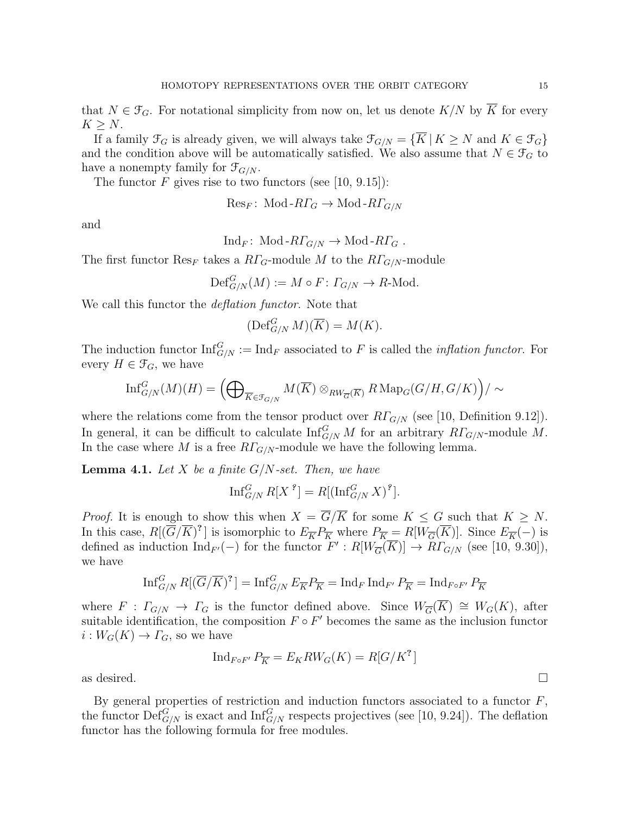that  $N \in \mathcal{F}_G$ . For notational simplicity from now on, let us denote  $K/N$  by  $\overline{K}$  for every  $K > N$ .

If a family  $\mathcal{F}_G$  is already given, we will always take  $\mathcal{F}_{G/N} = \{ \overline{K} | K \geq N \text{ and } K \in \mathcal{F}_G \}$ and the condition above will be automatically satisfied. We also assume that  $N \in \mathcal{F}_G$  to have a nonempty family for  $\mathcal{F}_{G/N}$ .

The functor  $F$  gives rise to two functors (see [10, 9.15]):

$$
\text{Res}_F\colon \operatorname{Mod-RT}_G \to \operatorname{Mod-RT}_{G/N}
$$

and

$$
Ind_F: Mod-R\Gamma_{G/N} \to Mod-R\Gamma_G .
$$

The first functor  $\text{Res}_F$  takes a  $R\Gamma_G$ -module M to the  $R\Gamma_{G/N}$ -module

$$
\mathrm{Def}_{G/N}^G(M) := M \circ F \colon \Gamma_{G/N} \to R\text{-Mod}.
$$

We call this functor the *deflation functor*. Note that

$$
(\operatorname{Def}_{G/N}^G M)(\overline{K}) = M(K).
$$

The induction functor  $\text{Inf}_{G/N}^G := \text{Ind}_F$  associated to F is called the *inflation functor*. For every  $H \in \mathcal{F}_G$ , we have

$$
\text{Inf}_{G/N}^G(M)(H) = \left(\bigoplus\nolimits_{\overline{K} \in \mathcal{F}_{G/N}} M(\overline{K}) \otimes_{RW_{\overline{G}}(\overline{K})} R \text{Map}_G(G/H, G/K)\right)/\sim
$$

where the relations come from the tensor product over  $R\Gamma_{G/N}$  (see [10, Definition 9.12]). In general, it can be difficult to calculate  $\text{Inf}_{G/N}^G M$  for an arbitrary  $R\Gamma_{G/N}$ -module M. In the case where M is a free  $RT_{G/N}$ -module we have the following lemma.

**Lemma 4.1.** Let X be a finite  $G/N$ -set. Then, we have

$$
\operatorname{Inf}_{G/N}^G R[X^{\,9}] = R[(\operatorname{Inf}_{G/N}^G X)^{\,9}].
$$

*Proof.* It is enough to show this when  $X = \overline{G}/\overline{K}$  for some  $K \leq G$  such that  $K \geq N$ . In this case,  $R[(\overline{G}/\overline{K})^2]$  is isomorphic to  $E_{\overline{K}}P_{\overline{K}}$  where  $P_{\overline{K}} = R[W_{\overline{G}}(\overline{K})]$ . Since  $E_{\overline{K}}(-)$  is defined as induction  $\text{Ind}_{F'}(-)$  for the functor  $F': R[W_{\overline{G}}(\overline{K})] \to R\Gamma_{G/N}$  (see [10, 9.30]), we have

$$
\operatorname{Inf}_{G/N}^G R[(\overline{G}/\overline{K})^?] = \operatorname{Inf}_{G/N}^G E_{\overline{K}} P_{\overline{K}} = \operatorname{Ind}_F \operatorname{Ind}_{F'} P_{\overline{K}} = \operatorname{Ind}_{F \circ F'} P_{\overline{K}}
$$

where  $F : \Gamma_{G/N} \to \Gamma_G$  is the functor defined above. Since  $W_{\overline{G}}(\overline{K}) \cong W_G(K)$ , after suitable identification, the composition  $F \circ F'$  becomes the same as the inclusion functor  $i: W_G(K) \to \Gamma_G$ , so we have

$$
\operatorname{Ind}_{F \circ F'} P_{\overline{K}} = E_K RW_G(K) = R[G/K^?
$$

as desired.  $\Box$ 

By general properties of restriction and induction functors associated to a functor  $F$ , the functor  $\mathrm{Def}_{G/N}^G$  is exact and  $\mathrm{Inf}_{G/N}^G$  respects projectives (see [10, 9.24]). The deflation functor has the following formula for free modules.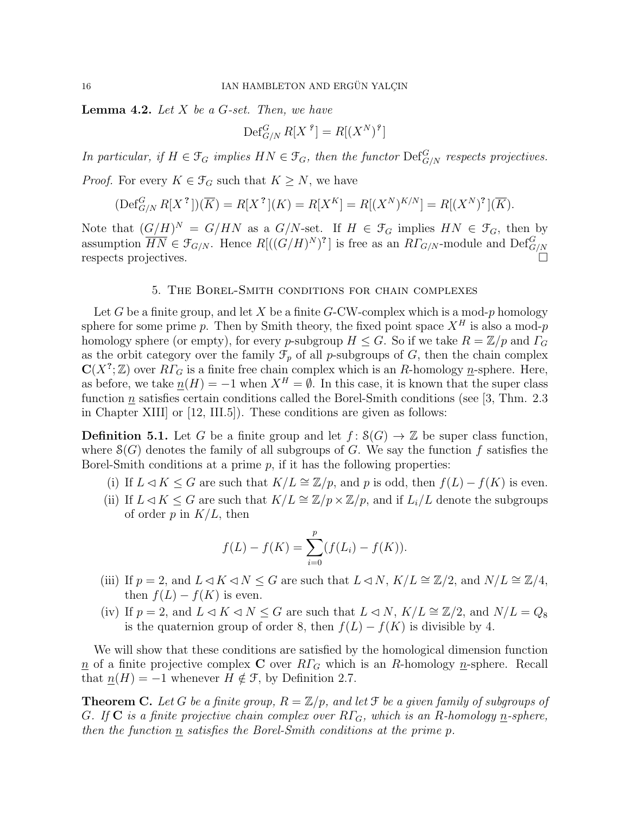**Lemma 4.2.** Let  $X$  be a  $G$ -set. Then, we have

$$
\operatorname{Def}_{G/N}^G R[X^{\,9}] = R[(X^N)^{\,9}]
$$

In particular, if  $H \in \mathfrak{F}_G$  implies  $HN \in \mathfrak{F}_G$ , then the functor  $\mathrm{Def}_{G/N}^G$  respects projectives.

*Proof.* For every  $K \in \mathcal{F}_G$  such that  $K \geq N$ , we have

$$
(\text{Def}_{G/N}^G R[X^?])(\overline{K}) = R[X^?](K) = R[X^K] = R[(X^N)^{K/N}] = R[(X^N)^?](\overline{K}).
$$

Note that  $(G/H)^N = G/HN$  as a  $G/N$ -set. If  $H \in \mathcal{F}_G$  implies  $HN \in \mathcal{F}_G$ , then by assumption  $\overline{HN} \in \mathfrak{F}_{G/N}$ . Hence  $R[((G/H)^N)^2]$  is free as an  $R\Gamma_{G/N}$ -module and  $\text{Def}_{G/N}^G$ respects projectives.

### 5. The Borel-Smith conditions for chain complexes

Let G be a finite group, and let X be a finite G-CW-complex which is a mod-p homology sphere for some prime p. Then by Smith theory, the fixed point space  $X^H$  is also a mod-p homology sphere (or empty), for every p-subgroup  $H \leq G$ . So if we take  $R = \mathbb{Z}/p$  and  $\Gamma_G$ as the orbit category over the family  $\mathcal{F}_p$  of all p-subgroups of G, then the chain complex  $\mathbf{C}(X^?;\mathbb{Z})$  over  $R\Gamma_G$  is a finite free chain complex which is an R-homology n-sphere. Here, as before, we take  $\underline{n}(H) = -1$  when  $X^H = \emptyset$ . In this case, it is known that the super class function n satisfies certain conditions called the Borel-Smith conditions (see [3, Thm. 2.3 in Chapter XIII] or [12, III.5]). These conditions are given as follows:

**Definition 5.1.** Let G be a finite group and let  $f: S(G) \to \mathbb{Z}$  be super class function, where  $\mathcal{S}(G)$  denotes the family of all subgroups of G. We say the function f satisfies the Borel-Smith conditions at a prime  $p$ , if it has the following properties:

- (i) If  $L \triangleleft K \leq G$  are such that  $K/L \cong \mathbb{Z}/p$ , and p is odd, then  $f(L) f(K)$  is even.
- (ii) If  $L \triangleleft K \leq G$  are such that  $K/L \cong \mathbb{Z}/p \times \mathbb{Z}/p$ , and if  $L_i/L$  denote the subgroups of order  $p$  in  $K/L$ , then

$$
f(L) - f(K) = \sum_{i=0}^{p} (f(L_i) - f(K)).
$$

- (iii) If  $p = 2$ , and  $L \triangleleft K \triangleleft N \leq G$  are such that  $L \triangleleft N$ ,  $K/L \cong \mathbb{Z}/2$ , and  $N/L \cong \mathbb{Z}/4$ , then  $f(L) - f(K)$  is even.
- (iv) If  $p = 2$ , and  $L \triangleleft K \triangleleft N \leq G$  are such that  $L \triangleleft N$ ,  $K/L \cong \mathbb{Z}/2$ , and  $N/L = Q_8$ is the quaternion group of order 8, then  $f(L) - f(K)$  is divisible by 4.

We will show that these conditions are satisfied by the homological dimension function  $n \in \mathbb{R}$  of a finite projective complex **C** over  $R\Gamma$ <sub>G</sub> which is an R-homology *n*-sphere. Recall that  $\underline{n}(H) = -1$  whenever  $H \notin \mathcal{F}$ , by Definition 2.7.

**Theorem C.** Let G be a finite group,  $R = \mathbb{Z}/p$ , and let F be a given family of subgroups of G. If  $C$  is a finite projective chain complex over  $R\Gamma_G$ , which is an R-homology n-sphere, then the function n satisfies the Borel-Smith conditions at the prime p.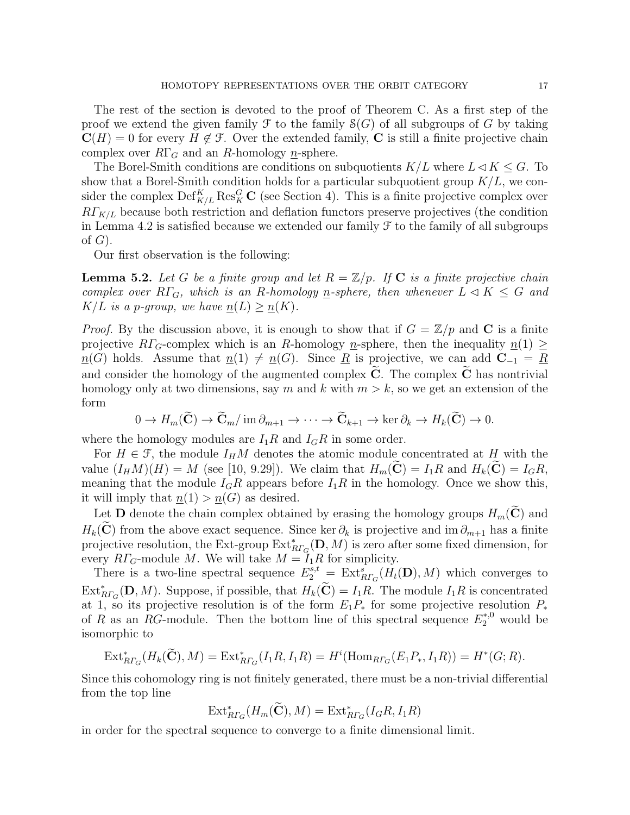The rest of the section is devoted to the proof of Theorem C. As a first step of the proof we extend the given family  $\mathcal F$  to the family  $\mathcal S(G)$  of all subgroups of G by taking  $\mathbf{C}(H) = 0$  for every  $H \notin \mathcal{F}$ . Over the extended family, C is still a finite projective chain complex over  $R\Gamma_G$  and an R-homology *n*-sphere.

The Borel-Smith conditions are conditions on subquotients  $K/L$  where  $L\triangleleft K \leq G$ . To show that a Borel-Smith condition holds for a particular subquotient group  $K/L$ , we consider the complex  $\text{Def}_{K/L}^K \text{Res}_{K}^G$  C (see Section 4). This is a finite projective complex over  $R\Gamma_{K/L}$  because both restriction and deflation functors preserve projectives (the condition in Lemma 4.2 is satisfied because we extended our family  $\mathcal F$  to the family of all subgroups of  $G$ ).

Our first observation is the following:

**Lemma 5.2.** Let G be a finite group and let  $R = \mathbb{Z}/p$ . If C is a finite projective chain complex over  $R\Gamma_G$ , which is an R-homology <u>n</u>-sphere, then whenever  $L \triangleleft K \leq G$  and  $K/L$  is a p-group, we have  $\underline{n}(L) \ge \underline{n}(K)$ .

*Proof.* By the discussion above, it is enough to show that if  $G = \mathbb{Z}/p$  and C is a finite projective  $R\Gamma_G$ -complex which is an R-homology n-sphere, then the inequality  $n(1) \geq$  $n(G)$  holds. Assume that  $n(1) \neq n(G)$ . Since R is projective, we can add  $C_{-1} = R$ and consider the homology of the augmented complex  $\tilde{C}$ . The complex  $\tilde{C}$  has nontrivial homology only at two dimensions, say m and k with  $m > k$ , so we get an extension of the form

$$
0 \to H_m(\widetilde{\mathbf{C}}) \to \widetilde{\mathbf{C}}_m / \operatorname{im} \partial_{m+1} \to \cdots \to \widetilde{\mathbf{C}}_{k+1} \to \ker \partial_k \to H_k(\widetilde{\mathbf{C}}) \to 0.
$$

where the homology modules are  $I_1R$  and  $I_GR$  in some order.

For  $H \in \mathcal{F}$ , the module  $I_H M$  denotes the atomic module concentrated at H with the value  $(I_HM)(H) = M$  (see [10, 9.29]). We claim that  $H_m(\tilde{\mathbf{C}}) = I_1R$  and  $H_k(\tilde{\mathbf{C}}) = I_GR$ , meaning that the module  $I_G R$  appears before  $I_1 R$  in the homology. Once we show this, it will imply that  $n(1) > n(G)$  as desired.

Let **D** denote the chain complex obtained by erasing the homology groups  $H_m(\mathbf{C})$  and  $H_k(\tilde{\mathbf{C}})$  from the above exact sequence. Since ker  $\partial_k$  is projective and im  $\partial_{m+1}$  has a finite projective resolution, the Ext-group  $\mathrm{Ext}_{R\Gamma_G}^*(\mathbf{D},M)$  is zero after some fixed dimension, for every  $R\Gamma_G$ -module M. We will take  $M = I_1R$  for simplicity.

There is a two-line spectral sequence  $E_2^{s,t} = \text{Ext}_{R\Gamma_G}^s(H_t(\mathbf{D}), M)$  which converges to  $\text{Ext}_{R\Gamma_G}^*(\mathbf{D}, M)$ . Suppose, if possible, that  $H_k(\widetilde{\mathbf{C}}) = I_1R$ . The module  $I_1R$  is concentrated at 1, so its projective resolution is of the form  $E_1P_*$  for some projective resolution  $P_*$ of R as an RG-module. Then the bottom line of this spectral sequence  $E_2^{*,0}$  would be isomorphic to

$$
\operatorname{Ext}^*_{R\Gamma_G}(H_k(\widetilde{\mathbf{C}}),M)=\operatorname{Ext}^*_{R\Gamma_G}(I_1R,I_1R)=H^i(\operatorname{Hom}_{R\Gamma_G}(E_1P_*,I_1R))=H^*(G;R).
$$

Since this cohomology ring is not finitely generated, there must be a non-trivial differential from the top line

$$
\text{Ext}_{R\Gamma_G}^*(H_m(\widetilde{\mathbf{C}}),M)=\text{Ext}_{R\Gamma_G}^*(I_GR,I_1R)
$$

in order for the spectral sequence to converge to a finite dimensional limit.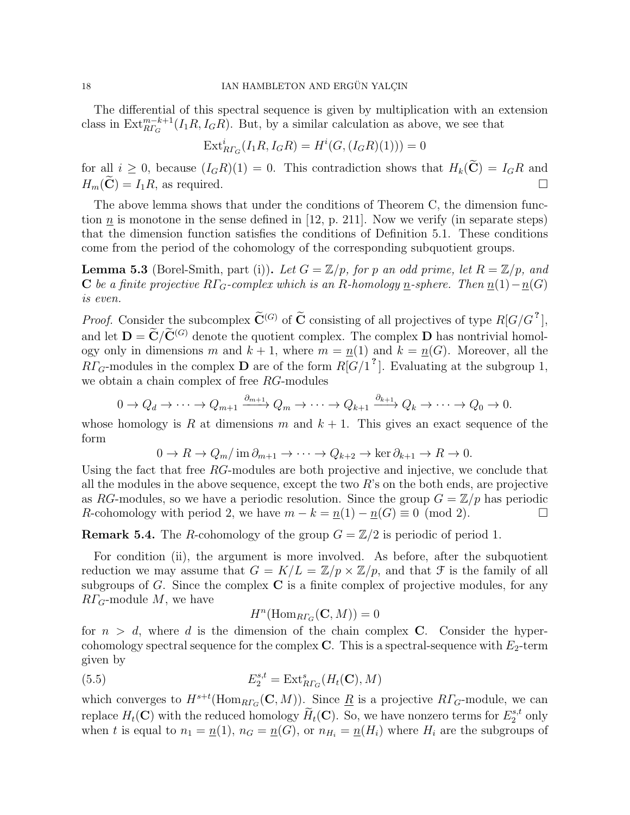The differential of this spectral sequence is given by multiplication with an extension class in  $\text{Ext}_{RT_G}^{m-k+1}(I_1R, I_GR)$ . But, by a similar calculation as above, we see that

$$
\text{Ext}_{R\Gamma_G}^i(I_1R, I_GR) = H^i(G, (I_GR)(1))) = 0
$$

for all  $i \geq 0$ , because  $(I_G R)(1) = 0$ . This contradiction shows that  $H_k(\tilde{\mathbf{C}}) = I_G R$  and  $H_{\infty}(\tilde{\mathbf{C}}) = I_1 R$ , as required.  $H_m(\widetilde{\mathbf{C}}) = I_1 R$ , as required.

The above lemma shows that under the conditions of Theorem C, the dimension function  $\underline{n}$  is monotone in the sense defined in [12, p. 211]. Now we verify (in separate steps) that the dimension function satisfies the conditions of Definition 5.1. These conditions come from the period of the cohomology of the corresponding subquotient groups.

**Lemma 5.3** (Borel-Smith, part (i)). Let  $G = \mathbb{Z}/p$ , for p an odd prime, let  $R = \mathbb{Z}/p$ , and C be a finite projective RΓ<sub>G</sub>-complex which is an R-homology <u>n</u>-sphere. Then  $\underline{n}(1)-\underline{n}(G)$ is even.

*Proof.* Consider the subcomplex  $\widetilde{C}^{(G)}$  of  $\widetilde{C}$  consisting of all projectives of type  $R[G/G^?]$ , and let  $\mathbf{D} = \widetilde{\mathbf{C}}/\widetilde{\mathbf{C}}^{(G)}$  denote the quotient complex. The complex  $\mathbf{D}$  has nontrivial homology only in dimensions m and  $k+1$ , where  $m = n(1)$  and  $k = n(G)$ . Moreover, all the  $R\Gamma_G$ -modules in the complex **D** are of the form  $R[G/1^2]$ . Evaluating at the subgroup 1, we obtain a chain complex of free RG-modules

$$
0 \to Q_d \to \cdots \to Q_{m+1} \xrightarrow{\partial_{m+1}} Q_m \to \cdots \to Q_{k+1} \xrightarrow{\partial_{k+1}} Q_k \to \cdots \to Q_0 \to 0.
$$

whose homology is R at dimensions m and  $k + 1$ . This gives an exact sequence of the form

$$
0 \to R \to Q_m / \operatorname{im} \partial_{m+1} \to \cdots \to Q_{k+2} \to \ker \partial_{k+1} \to R \to 0.
$$

Using the fact that free RG-modules are both projective and injective, we conclude that all the modules in the above sequence, except the two  $R$ 's on the both ends, are projective as RG-modules, so we have a periodic resolution. Since the group  $G = \mathbb{Z}/p$  has periodic R-cohomology with period 2, we have  $m - k = n(1) - n(G) \equiv 0 \pmod{2}$ .

**Remark 5.4.** The R-cohomology of the group  $G = \mathbb{Z}/2$  is periodic of period 1.

For condition (ii), the argument is more involved. As before, after the subquotient reduction we may assume that  $G = K/L = \mathbb{Z}/p \times \mathbb{Z}/p$ , and that  $\mathcal F$  is the family of all subgroups of  $G$ . Since the complex  $C$  is a finite complex of projective modules, for any  $R\Gamma$ <sub>G</sub>-module M, we have

 $H^n(\text{Hom}_{R\Gamma_G}(\mathbf{C},M))=0$ 

for  $n > d$ , where d is the dimension of the chain complex C. Consider the hypercohomology spectral sequence for the complex C. This is a spectral-sequence with  $E_2$ -term given by

(5.5) 
$$
E_2^{s,t} = \text{Ext}_{R\Gamma_G}^s(H_t(\mathbf{C}), M)
$$

which converges to  $H^{s+t}(\text{Hom}_{RT_G}(\mathbf{C},M))$ . Since  $\underline{R}$  is a projective  $R\Gamma_G$ -module, we can replace  $H_t(\mathbf{C})$  with the reduced homology  $\widetilde{H}_t(\mathbf{C})$ . So, we have nonzero terms for  $E_2^{s,t}$  $_2^{s,t}$  only when t is equal to  $n_1 = \underline{n}(1)$ ,  $n_G = \underline{n}(G)$ , or  $n_{H_i} = \underline{n}(H_i)$  where  $H_i$  are the subgroups of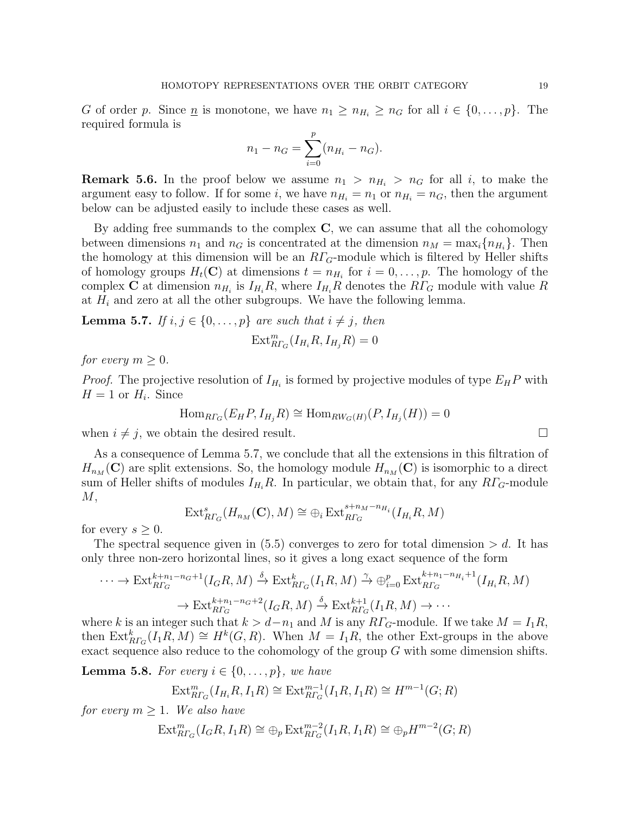G of order p. Since <u>n</u> is monotone, we have  $n_1 \geq n_{H_i} \geq n_G$  for all  $i \in \{0, ..., p\}$ . The required formula is

$$
n_1 - n_G = \sum_{i=0}^{p} (n_{H_i} - n_G).
$$

**Remark 5.6.** In the proof below we assume  $n_1 > n_{H_i} > n_G$  for all i, to make the argument easy to follow. If for some i, we have  $n_{H_i} = n_1$  or  $n_{H_i} = n_G$ , then the argument below can be adjusted easily to include these cases as well.

By adding free summands to the complex  $C$ , we can assume that all the cohomology between dimensions  $n_1$  and  $n_G$  is concentrated at the dimension  $n_M = \max_i \{n_{H_i}\}\.$  Then the homology at this dimension will be an  $R\Gamma_G$ -module which is filtered by Heller shifts of homology groups  $H_t(\mathbf{C})$  at dimensions  $t = n_{H_i}$  for  $i = 0, \ldots, p$ . The homology of the complex **C** at dimension  $n_{H_i}$  is  $I_{H_i}R$ , where  $I_{H_i}R$  denotes the  $R\Gamma_G$  module with value R at  $H_i$  and zero at all the other subgroups. We have the following lemma.

**Lemma 5.7.** If  $i, j \in \{0, \ldots, p\}$  are such that  $i \neq j$ , then

$$
\text{Ext}_{R\Gamma_G}^m(I_{H_i}R, I_{H_j}R) = 0
$$

for every  $m \geq 0$ .

*Proof.* The projective resolution of  $I_{H_i}$  is formed by projective modules of type  $E_H P$  with  $H = 1$  or  $H_i$ . Since

$$
\text{Hom}_{\text{R}\Gamma_G}(E_H P, I_{H_j} R) \cong \text{Hom}_{\text{RW}_G(H)}(P, I_{H_j}(H)) = 0
$$

when  $i \neq j$ , we obtain the desired result.

As a consequence of Lemma 5.7, we conclude that all the extensions in this filtration of  $H_{n_M}(\mathbf{C})$  are split extensions. So, the homology module  $H_{n_M}(\mathbf{C})$  is isomorphic to a direct sum of Heller shifts of modules  $I_{H_i}R$ . In particular, we obtain that, for any  $R\Gamma_G$ -module  $M,$ 

$$
\text{Ext}_{R\Gamma_G}^s(H_{n_M}(\mathbf{C}),M)\cong \bigoplus_i \text{Ext}_{R\Gamma_G}^{s+n_M-n_{H_i}}(I_{H_i}R,M)
$$

for every  $s > 0$ .

The spectral sequence given in  $(5.5)$  converges to zero for total dimension  $> d$ . It has only three non-zero horizontal lines, so it gives a long exact sequence of the form

$$
\cdots \to \text{Ext}_{R\Gamma_G}^{k+n_1-n_G+1}(I_GR,M) \xrightarrow{\delta} \text{Ext}_{R\Gamma_G}^k(I_1R,M) \xrightarrow{\gamma} \oplus_{i=0}^p \text{Ext}_{R\Gamma_G}^{k+n_1-n_{H_i}+1}(I_{H_i}R,M)
$$

$$
\to \text{Ext}_{R\Gamma_G}^{k+n_1-n_G+2}(I_GR,M) \xrightarrow{\delta} \text{Ext}_{R\Gamma_G}^{k+1}(I_1R,M) \to \cdots
$$

where k is an integer such that  $k > d-n_1$  and M is any  $R\Gamma_G$ -module. If we take  $M = I_1R$ , then  $\text{Ext}_{R_{\Gamma G}}^k(I_1R, M) \cong H^k(G, R)$ . When  $M = I_1R$ , the other Ext-groups in the above exact sequence also reduce to the cohomology of the group G with some dimension shifts.

**Lemma 5.8.** For every  $i \in \{0, \ldots, p\}$ , we have

$$
\operatorname{Ext}^m_{R\Gamma_G}(I_{H_i}R, I_1R) \cong \operatorname{Ext}^{m-1}_{R\Gamma_G}(I_1R, I_1R) \cong H^{m-1}(G; R)
$$

for every  $m > 1$ . We also have

$$
\text{Ext}^m_{R\Gamma_G}(I_G R, I_1 R) \cong \bigoplus_p \text{Ext}^{m-2}_{R\Gamma_G}(I_1 R, I_1 R) \cong \bigoplus_p H^{m-2}(G;R)
$$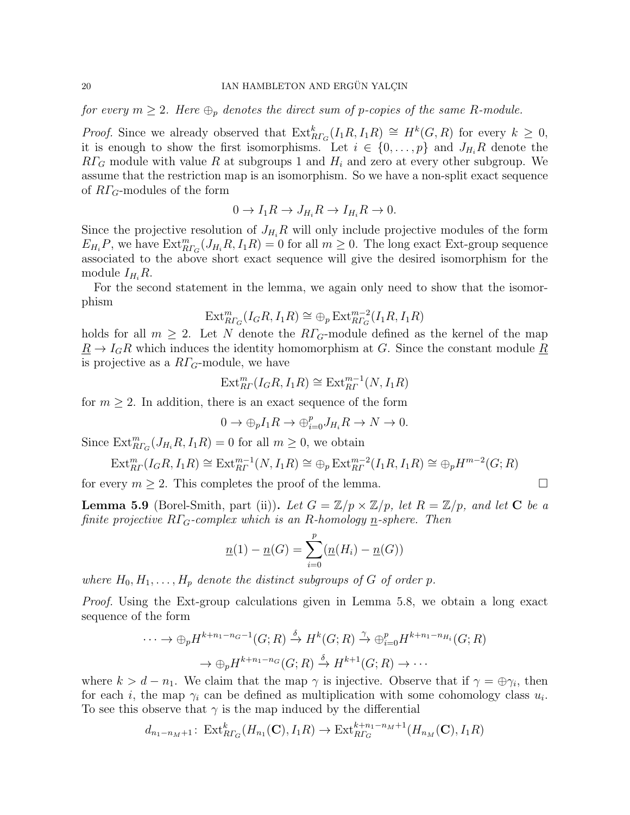for every  $m \geq 2$ . Here  $\bigoplus_{p}$  denotes the direct sum of p-copies of the same R-module.

*Proof.* Since we already observed that  $\text{Ext}_{R\Gamma_G}^k(I_1R, I_1R) \cong H^k(G,R)$  for every  $k \geq 0$ , it is enough to show the first isomorphisms. Let  $i \in \{0, \ldots, p\}$  and  $J_{H_i}R$  denote the  $R\Gamma_G$  module with value R at subgroups 1 and  $H_i$  and zero at every other subgroup. We assume that the restriction map is an isomorphism. So we have a non-split exact sequence of  $R\Gamma$ <sub>G</sub>-modules of the form

$$
0 \to I_1 R \to J_{H_i} R \to I_{H_i} R \to 0.
$$

Since the projective resolution of  $J_{H_i}R$  will only include projective modules of the form  $E_{H_i}P$ , we have  $\text{Ext}_{RT_G}^m(J_{H_i}R, I_1R) = 0$  for all  $m \geq 0$ . The long exact Ext-group sequence associated to the above short exact sequence will give the desired isomorphism for the module  $I_{H_i}R$ .

For the second statement in the lemma, we again only need to show that the isomorphism

$$
\operatorname{Ext}^m_{R\Gamma_G}(I_G R,I_1 R) \cong \oplus_p \operatorname{Ext}^{m-2}_{R\Gamma_G}(I_1 R,I_1 R)
$$

holds for all  $m \geq 2$ . Let N denote the R<sub>ΓG</sub>-module defined as the kernel of the map  $\underline{R} \to I_G R$  which induces the identity homomorphism at G. Since the constant module  $\underline{R}$ is projective as a  $R\Gamma$ <sub>G</sub>-module, we have

$$
\text{Ext}_{RT}^m(I_GR, I_1R) \cong \text{Ext}_{RT}^{m-1}(N, I_1R)
$$

for  $m \geq 2$ . In addition, there is an exact sequence of the form

$$
0 \to \bigoplus_p I_1 R \to \bigoplus_{i=0}^p J_{H_i} R \to N \to 0.
$$

Since  $\text{Ext}_{R\Gamma_G}^m(J_{H_i}R, I_1R) = 0$  for all  $m \geq 0$ , we obtain

$$
\text{Ext}^m_{\text{R}'}(I_G R, I_1 R) \cong \text{Ext}^{m-1}_{\text{R}'}(N, I_1 R) \cong \bigoplus_p \text{Ext}^{m-2}_{\text{R}'}(I_1 R, I_1 R) \cong \bigoplus_p H^{m-2}(G; R)
$$

for every  $m \geq 2$ . This completes the proof of the lemma.

**Lemma 5.9** (Borel-Smith, part (ii)). Let  $G = \mathbb{Z}/p \times \mathbb{Z}/p$ , let  $R = \mathbb{Z}/p$ , and let **C** be a finite projective  $R\Gamma_G$ -complex which is an R-homology n-sphere. Then

$$
\underline{n}(1) - \underline{n}(G) = \sum_{i=0}^{p} (\underline{n}(H_i) - \underline{n}(G))
$$

where  $H_0, H_1, \ldots, H_p$  denote the distinct subgroups of G of order p.

Proof. Using the Ext-group calculations given in Lemma 5.8, we obtain a long exact sequence of the form

$$
\cdots \to \oplus_p H^{k+n_1-n_G-1}(G;R) \stackrel{\delta}{\to} H^k(G;R) \stackrel{\gamma}{\to} \oplus_{i=0}^p H^{k+n_1-n_{H_i}}(G;R)
$$

$$
\to \oplus_p H^{k+n_1-n_G}(G;R) \stackrel{\delta}{\to} H^{k+1}(G;R) \to \cdots
$$

where  $k > d - n_1$ . We claim that the map  $\gamma$  is injective. Observe that if  $\gamma = \bigoplus \gamma_i$ , then for each *i*, the map  $\gamma_i$  can be defined as multiplication with some cohomology class  $u_i$ . To see this observe that  $\gamma$  is the map induced by the differential

$$
d_{n_1-n_M+1} \colon \operatorname{Ext}_{R\Gamma_G}^k(H_{n_1}(\mathbf{C}), I_1R) \to \operatorname{Ext}_{R\Gamma_G}^{k+n_1-n_M+1}(H_{n_M}(\mathbf{C}), I_1R)
$$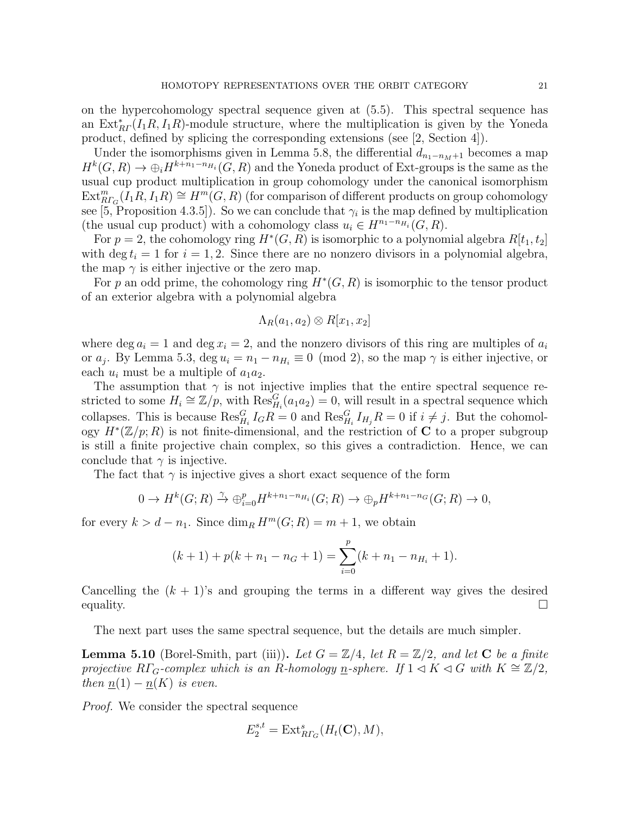on the hypercohomology spectral sequence given at (5.5). This spectral sequence has an  $\text{Ext}_{RF}^{*}(I_{1}R, I_{1}R)$ -module structure, where the multiplication is given by the Yoneda product, defined by splicing the corresponding extensions (see [2, Section 4]).

Under the isomorphisms given in Lemma 5.8, the differential  $d_{n_1-n_M+1}$  becomes a map  $H^k(G, R) \to \bigoplus_i H^{k+n_1-n_{H_i}}(G, R)$  and the Yoneda product of Ext-groups is the same as the usual cup product multiplication in group cohomology under the canonical isomorphism  $\text{Ext}_{R\Gamma_G}^m(I_1R, I_1R) \cong H^m(G, R)$  (for comparison of different products on group cohomology see [5, Proposition 4.3.5]). So we can conclude that  $\gamma_i$  is the map defined by multiplication (the usual cup product) with a cohomology class  $u_i \in H^{n_1-n_{H_i}}(G, R)$ .

For  $p = 2$ , the cohomology ring  $H^*(G, R)$  is isomorphic to a polynomial algebra  $R[t_1, t_2]$ with deg  $t_i = 1$  for  $i = 1, 2$ . Since there are no nonzero divisors in a polynomial algebra, the map  $\gamma$  is either injective or the zero map.

For p an odd prime, the cohomology ring  $H^*(G, R)$  is isomorphic to the tensor product of an exterior algebra with a polynomial algebra

$$
\Lambda_R(a_1, a_2) \otimes R[x_1, x_2]
$$

where deg  $a_i = 1$  and deg  $x_i = 2$ , and the nonzero divisors of this ring are multiples of  $a_i$ or  $a_j$ . By Lemma 5.3, deg  $u_i = n_1 - n_{H_i} \equiv 0 \pmod{2}$ , so the map  $\gamma$  is either injective, or each  $u_i$  must be a multiple of  $a_1a_2$ .

The assumption that  $\gamma$  is not injective implies that the entire spectral sequence restricted to some  $H_i \cong \mathbb{Z}/p$ , with  $\text{Res}_{H_i}^G(a_1a_2) = 0$ , will result in a spectral sequence which collapses. This is because  $\text{Res}_{H_i}^G I_G R = 0$  and  $\text{Res}_{H_i}^G I_{H_j} R = 0$  if  $i \neq j$ . But the cohomology  $H^*(\mathbb{Z}/p;R)$  is not finite-dimensional, and the restriction of C to a proper subgroup is still a finite projective chain complex, so this gives a contradiction. Hence, we can conclude that  $\gamma$  is injective.

The fact that  $\gamma$  is injective gives a short exact sequence of the form

$$
0 \to H^k(G; R) \xrightarrow{\gamma} \oplus_{i=0}^p H^{k+n_1-n_{H_i}}(G; R) \to \oplus_p H^{k+n_1-n_G}(G; R) \to 0,
$$

for every  $k > d - n_1$ . Since  $\dim_R H^m(G; R) = m + 1$ , we obtain

$$
(k+1) + p(k+n_1-n_G+1) = \sum_{i=0}^{p} (k+n_1-n_{H_i}+1).
$$

Cancelling the  $(k + 1)$ 's and grouping the terms in a different way gives the desired equality.  $\Box$ 

The next part uses the same spectral sequence, but the details are much simpler.

**Lemma 5.10** (Borel-Smith, part (iii)). Let  $G = \mathbb{Z}/4$ , let  $R = \mathbb{Z}/2$ , and let C be a finite projective RΓ<sub>G</sub>-complex which is an R-homology <u>n</u>-sphere. If  $1 \triangleleft K \triangleleft G$  with  $K \cong \mathbb{Z}/2$ , then  $\underline{n}(1) - \underline{n}(K)$  is even.

Proof. We consider the spectral sequence

$$
E_2^{s,t} = \text{Ext}_{R\Gamma_G}^s(H_t(\mathbf{C}), M),
$$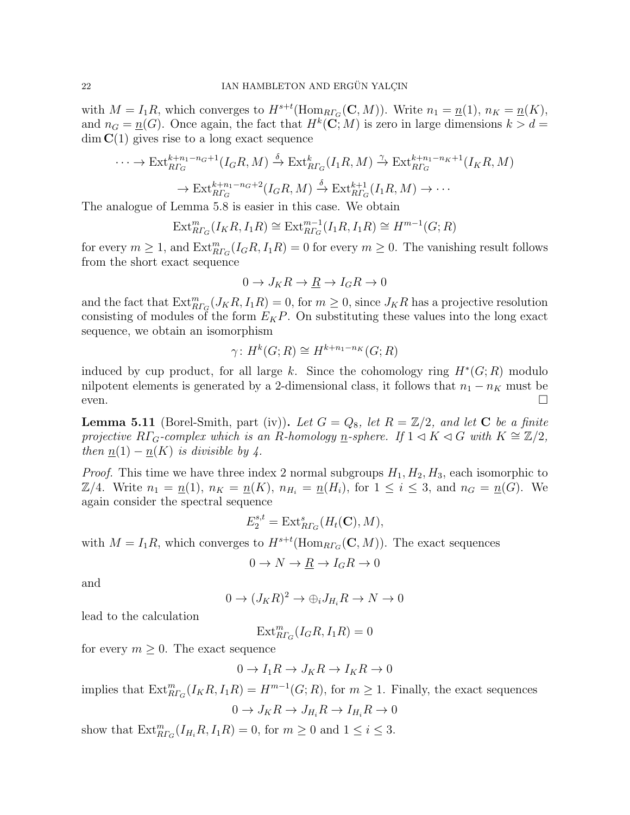with  $M = I_1R$ , which converges to  $H^{s+t}(\text{Hom}_{RT_G}(\mathbf{C}, M))$ . Write  $n_1 = \underline{n}(1)$ ,  $n_K = \underline{n}(K)$ , and  $n_G = \underline{n}(G)$ . Once again, the fact that  $H^k(\mathbb{C}; M)$  is zero in large dimensions  $k > d$  $\dim C(1)$  gives rise to a long exact sequence

$$
\cdots \to \text{Ext}_{R\Gamma_G}^{k+n_1-n_G+1}(I_GR,M) \xrightarrow{\delta} \text{Ext}_{R\Gamma_G}^k(I_1R,M) \xrightarrow{\gamma} \text{Ext}_{R\Gamma_G}^{k+n_1-n_K+1}(I_KR,M)
$$

$$
\to \text{Ext}_{R\Gamma_G}^{k+n_1-n_G+2}(I_GR,M) \xrightarrow{\delta} \text{Ext}_{R\Gamma_G}^{k+1}(I_1R,M) \to \cdots
$$

The analogue of Lemma 5.8 is easier in this case. We obtain

$$
\text{Ext}_{R\Gamma_G}^m(I_K R, I_1 R) \cong \text{Ext}_{R\Gamma_G}^{m-1}(I_1 R, I_1 R) \cong H^{m-1}(G; R)
$$

for every  $m \geq 1$ , and  $\text{Ext}_{RT_G}^m(I_G R, I_1 R) = 0$  for every  $m \geq 0$ . The vanishing result follows from the short exact sequence

$$
0 \to J_K R \to \underline{R} \to I_G R \to 0
$$

and the fact that  $\text{Ext}_{RT_G}^m(J_KR, I_1R) = 0$ , for  $m \geq 0$ , since  $J_KR$  has a projective resolution consisting of modules of the form  $E_KP$ . On substituting these values into the long exact sequence, we obtain an isomorphism

$$
\gamma: H^k(G; R) \cong H^{k+n_1-n_K}(G; R)
$$

induced by cup product, for all large k. Since the cohomology ring  $H^*(G;R)$  modulo nilpotent elements is generated by a 2-dimensional class, it follows that  $n_1 - n_K$  must be  $e$ ven.

**Lemma 5.11** (Borel-Smith, part (iv)). Let  $G = Q_8$ , let  $R = \mathbb{Z}/2$ , and let C be a finite projective RΓ<sub>G</sub>-complex which is an R-homology <u>n</u>-sphere. If  $1 \triangleleft K \triangleleft G$  with  $K \cong \mathbb{Z}/2$ , then  $\underline{n}(1) - \underline{n}(K)$  is divisible by 4.

*Proof.* This time we have three index 2 normal subgroups  $H_1, H_2, H_3$ , each isomorphic to  $\mathbb{Z}/4$ . Write  $n_1 = \underline{n}(1), n_K = \underline{n}(K), n_{H_i} = \underline{n}(H_i)$ , for  $1 \le i \le 3$ , and  $n_G = \underline{n}(G)$ . We again consider the spectral sequence

$$
E_2^{s,t} = \text{Ext}_{R\Gamma_G}^s(H_t(\mathbf{C}), M),
$$

with  $M = I_1 R$ , which converges to  $H^{s+t}(\text{Hom}_{R\Gamma_G}(\mathbf{C}, M))$ . The exact sequences

$$
0 \to N \to \underline{R} \to I_G R \to 0
$$

and

$$
0 \to (J_K R)^2 \to \bigoplus_i J_{H_i} R \to N \to 0
$$

lead to the calculation

 $\text{Ext}_{R\Gamma_G}^m(I_GR, I_1R) = 0$ 

for every  $m \geq 0$ . The exact sequence

$$
0 \to I_1 R \to J_K R \to I_K R \to 0
$$

implies that  $\text{Ext}_{RT_G}^m(I_KR, I_1R) = H^{m-1}(G; R)$ , for  $m \geq 1$ . Finally, the exact sequences

$$
0 \to J_K R \to J_{H_i} R \to I_{H_i} R \to 0
$$

show that  $\text{Ext}_{RT_G}^m(I_{H_i}R, I_1R) = 0$ , for  $m \ge 0$  and  $1 \le i \le 3$ .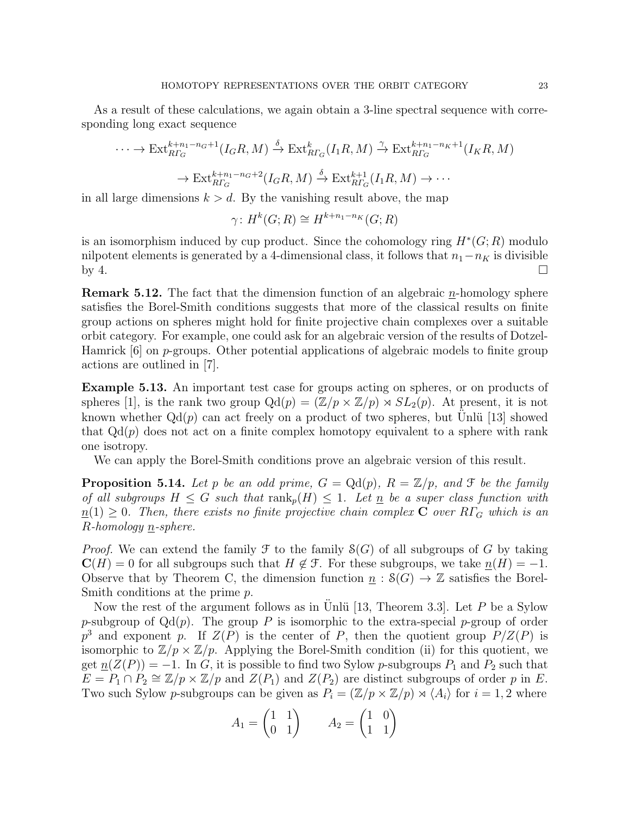As a result of these calculations, we again obtain a 3-line spectral sequence with corresponding long exact sequence

$$
\cdots \to \text{Ext}_{R\Gamma_G}^{k+n_1-n_G+1}(I_GR, M) \xrightarrow{\delta} \text{Ext}_{R\Gamma_G}^k(I_1R, M) \xrightarrow{\gamma} \text{Ext}_{R\Gamma_G}^{k+n_1-n_K+1}(I_KR, M)
$$

$$
\to \text{Ext}_{R\Gamma_G}^{k+n_1-n_G+2}(I_GR, M) \xrightarrow{\delta} \text{Ext}_{R\Gamma_G}^{k+1}(I_1R, M) \to \cdots
$$

in all large dimensions  $k > d$ . By the vanishing result above, the map

$$
\gamma: H^k(G; R) \cong H^{k+n_1-n_K}(G; R)
$$

is an isomorphism induced by cup product. Since the cohomology ring  $H^*(G; R)$  modulo nilpotent elements is generated by a 4-dimensional class, it follows that  $n_1-n_K$  is divisible by 4.  $\Box$ 

**Remark 5.12.** The fact that the dimension function of an algebraic  $n$ -homology sphere satisfies the Borel-Smith conditions suggests that more of the classical results on finite group actions on spheres might hold for finite projective chain complexes over a suitable orbit category. For example, one could ask for an algebraic version of the results of Dotzel-Hamrick [6] on p-groups. Other potential applications of algebraic models to finite group actions are outlined in [7].

Example 5.13. An important test case for groups acting on spheres, or on products of spheres [1], is the rank two group  $Qd(p) = (\mathbb{Z}/p \times \mathbb{Z}/p) \rtimes SL_2(p)$ . At present, it is not known whether  $Qd(p)$  can act freely on a product of two spheres, but Unlü [13] showed that  $Qd(p)$  does not act on a finite complex homotopy equivalent to a sphere with rank one isotropy.

We can apply the Borel-Smith conditions prove an algebraic version of this result.

**Proposition 5.14.** Let p be an odd prime,  $G = \text{Qd}(p)$ ,  $R = \mathbb{Z}/p$ , and  $\mathcal{F}$  be the family of all subgroups  $H \leq G$  such that  $\text{rank}_p(H) \leq 1$ . Let n be a super class function with  $n(1) \geq 0$ . Then, there exists no finite projective chain complex C over R $\Gamma_G$  which is an R-homology n-sphere.

*Proof.* We can extend the family  $\mathcal{F}$  to the family  $\mathcal{S}(G)$  of all subgroups of G by taking  $\mathbf{C}(H) = 0$  for all subgroups such that  $H \notin \mathcal{F}$ . For these subgroups, we take  $n(H) = -1$ . Observe that by Theorem C, the dimension function  $\underline{n} : \mathcal{S}(G) \to \mathbb{Z}$  satisfies the Borel-Smith conditions at the prime p.

Now the rest of the argument follows as in Unlu<sup>[13]</sup>, Theorem 3.3. Let  $P$  be a Sylow p-subgroup of  $Qd(p)$ . The group P is isomorphic to the extra-special p-group of order  $p^3$  and exponent p. If  $Z(P)$  is the center of P, then the quotient group  $P/Z(P)$  is isomorphic to  $\mathbb{Z}/p \times \mathbb{Z}/p$ . Applying the Borel-Smith condition (ii) for this quotient, we get  $\underline{n}(Z(P)) = -1$ . In G, it is possible to find two Sylow p-subgroups  $P_1$  and  $P_2$  such that  $E = P_1 \cap P_2 \cong \mathbb{Z}/p \times \mathbb{Z}/p$  and  $Z(P_1)$  and  $Z(P_2)$  are distinct subgroups of order p in E. Two such Sylow p-subgroups can be given as  $P_i = (\mathbb{Z}/p \times \mathbb{Z}/p) \rtimes \langle A_i \rangle$  for  $i = 1, 2$  where

$$
A_1 = \begin{pmatrix} 1 & 1 \\ 0 & 1 \end{pmatrix} \qquad A_2 = \begin{pmatrix} 1 & 0 \\ 1 & 1 \end{pmatrix}
$$